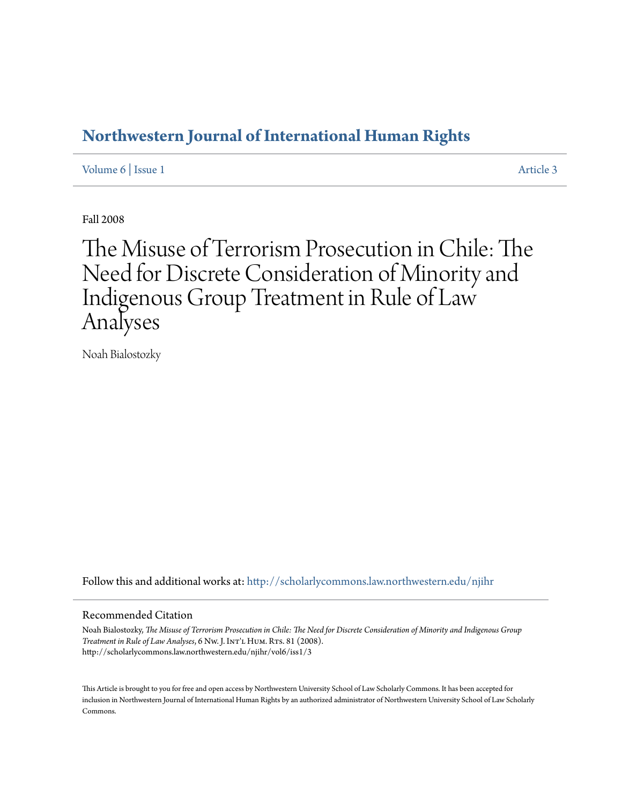## **[Northwestern Journal of International Human Rights](http://scholarlycommons.law.northwestern.edu/njihr?utm_source=scholarlycommons.law.northwestern.edu%2Fnjihr%2Fvol6%2Fiss1%2F3&utm_medium=PDF&utm_campaign=PDFCoverPages)**

[Volume 6](http://scholarlycommons.law.northwestern.edu/njihr/vol6?utm_source=scholarlycommons.law.northwestern.edu%2Fnjihr%2Fvol6%2Fiss1%2F3&utm_medium=PDF&utm_campaign=PDFCoverPages) | [Issue 1](http://scholarlycommons.law.northwestern.edu/njihr/vol6/iss1?utm_source=scholarlycommons.law.northwestern.edu%2Fnjihr%2Fvol6%2Fiss1%2F3&utm_medium=PDF&utm_campaign=PDFCoverPages) [Article 3](http://scholarlycommons.law.northwestern.edu/njihr/vol6/iss1/3?utm_source=scholarlycommons.law.northwestern.edu%2Fnjihr%2Fvol6%2Fiss1%2F3&utm_medium=PDF&utm_campaign=PDFCoverPages)

Fall 2008

The Misuse of Terrorism Prosecution in Chile: The Need for Discrete Consideration of Minority and Indigenous Group Treatment in Rule of Law Analyses

Noah Bialostozky

Follow this and additional works at: [http://scholarlycommons.law.northwestern.edu/njihr](http://scholarlycommons.law.northwestern.edu/njihr?utm_source=scholarlycommons.law.northwestern.edu%2Fnjihr%2Fvol6%2Fiss1%2F3&utm_medium=PDF&utm_campaign=PDFCoverPages)

#### Recommended Citation

Noah Bialostozky, *The Misuse of Terrorism Prosecution in Chile: The Need for Discrete Consideration of Minority and Indigenous Group Treatment in Rule of Law Analyses*, 6 Nw. J. Int'l Hum. Rts. 81 (2008). http://scholarlycommons.law.northwestern.edu/njihr/vol6/iss1/3

This Article is brought to you for free and open access by Northwestern University School of Law Scholarly Commons. It has been accepted for inclusion in Northwestern Journal of International Human Rights by an authorized administrator of Northwestern University School of Law Scholarly Commons.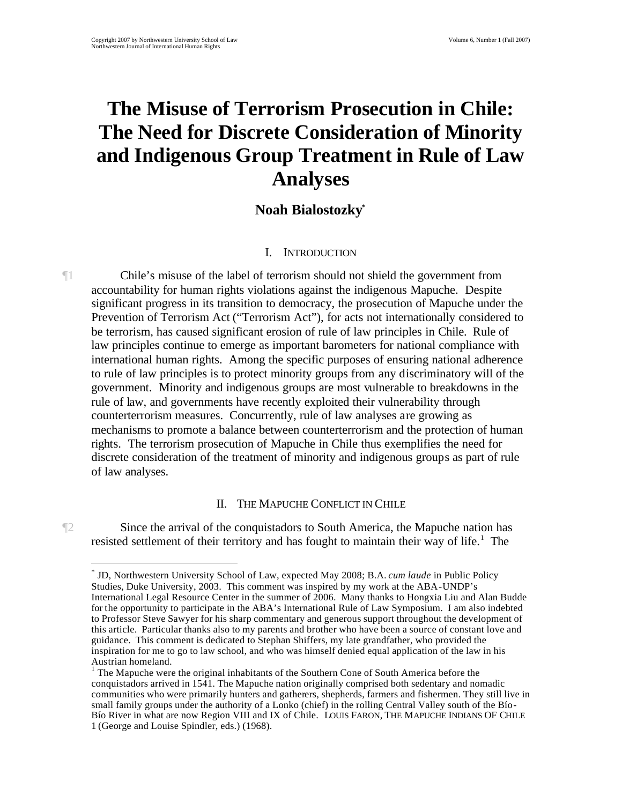$\overline{a}$ 

# **The Misuse of Terrorism Prosecution in Chile: The Need for Discrete Consideration of Minority and Indigenous Group Treatment in Rule of Law Analyses**

## **Noah Bialostozky\***

## I. INTRODUCTION

¶1 Chile's misuse of the label of terrorism should not shield the government from accountability for human rights violations against the indigenous Mapuche. Despite significant progress in its transition to democracy, the prosecution of Mapuche under the Prevention of Terrorism Act ("Terrorism Act"), for acts not internationally considered to be terrorism, has caused significant erosion of rule of law principles in Chile. Rule of law principles continue to emerge as important barometers for national compliance with international human rights. Among the specific purposes of ensuring national adherence to rule of law principles is to protect minority groups from any discriminatory will of the government. Minority and indigenous groups are most vulnerable to breakdowns in the rule of law, and governments have recently exploited their vulnerability through counterterrorism measures. Concurrently, rule of law analyses are growing as mechanisms to promote a balance between counterterrorism and the protection of human rights. The terrorism prosecution of Mapuche in Chile thus exemplifies the need for discrete consideration of the treatment of minority and indigenous groups as part of rule of law analyses.

## II. THE MAPUCHE CONFLICT IN CHILE

¶2 Since the arrival of the conquistadors to South America, the Mapuche nation has resisted settlement of their territory and has fought to maintain their way of life. $<sup>1</sup>$  The</sup>

<sup>\*</sup> JD, Northwestern University School of Law, expected May 2008; B.A. *cum laude* in Public Policy Studies, Duke University, 2003. This comment was inspired by my work at the ABA-UNDP's International Legal Resource Center in the summer of 2006. Many thanks to Hongxia Liu and Alan Budde for the opportunity to participate in the ABA's International Rule of Law Symposium. I am also indebted to Professor Steve Sawyer for his sharp commentary and generous support throughout the development of this article. Particular thanks also to my parents and brother who have been a source of constant love and guidance. This comment is dedicated to Stephan Shiffers, my late grandfather, who provided the inspiration for me to go to law school, and who was himself denied equal application of the law in his Austrian homeland.

 $<sup>1</sup>$  The Mapuche were the original inhabitants of the Southern Cone of South America before the</sup> conquistadors arrived in 1541. The Mapuche nation originally comprised both sedentary and nomadic communities who were primarily hunters and gatherers, shepherds, farmers and fishermen. They still live in small family groups under the authority of a Lonko (chief) in the rolling Central Valley south of the Bío-Bío River in what are now Region VIII and IX of Chile. LOUIS FARON, THE MAPUCHE INDIANS OF CHILE 1 (George and Louise Spindler, eds.) (1968).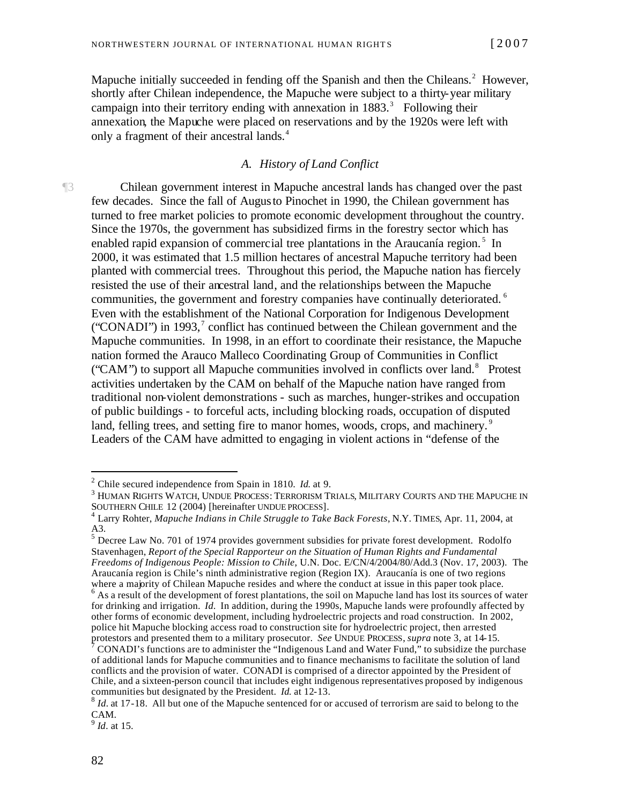Mapuche initially succeeded in fending off the Spanish and then the Chileans.<sup>2</sup> However, shortly after Chilean independence, the Mapuche were subject to a thirty-year military campaign into their territory ending with annexation in  $1883$ <sup>3</sup> Following their annexation, the Mapuche were placed on reservations and by the 1920s were left with only a fragment of their ancestral lands.<sup>4</sup>

## *A. History of Land Conflict*

¶3 Chilean government interest in Mapuche ancestral lands has changed over the past few decades. Since the fall of Augusto Pinochet in 1990, the Chilean government has turned to free market policies to promote economic development throughout the country. Since the 1970s, the government has subsidized firms in the forestry sector which has enabled rapid expansion of commercial tree plantations in the Araucanía region.<sup>5</sup> In 2000, it was estimated that 1.5 million hectares of ancestral Mapuche territory had been planted with commercial trees. Throughout this period, the Mapuche nation has fiercely resisted the use of their ancestral land, and the relationships between the Mapuche communities, the government and forestry companies have continually deteriorated.<sup>6</sup> Even with the establishment of the National Corporation for Indigenous Development ("CONADI") in 1993, $\frac{7}{1}$  conflict has continued between the Chilean government and the Mapuche communities. In 1998, in an effort to coordinate their resistance, the Mapuche nation formed the Arauco Malleco Coordinating Group of Communities in Conflict ("CAM") to support all Mapuche communities involved in conflicts over land.<sup>8</sup> Protest activities undertaken by the CAM on behalf of the Mapuche nation have ranged from traditional non-violent demonstrations - such as marches, hunger-strikes and occupation of public buildings - to forceful acts, including blocking roads, occupation of disputed land, felling trees, and setting fire to manor homes, woods, crops, and machinery.<sup>9</sup> Leaders of the CAM have admitted to engaging in violent actions in "defense of the

<sup>2</sup> Chile secured independence from Spain in 1810. *Id.* at 9.

<sup>3</sup> HUMAN RIGHTS WATCH, UNDUE PROCESS: TERRORISM TRIALS, MILITARY COURTS AND THE MAPUCHE IN SOUTHERN CHILE 12 (2004) [hereinafter UNDUE PROCESS].

<sup>4</sup> Larry Rohter, *Mapuche Indians in Chile Struggle to Take Back Forests*, N.Y. TIMES, Apr. 11, 2004, at A3.<br><sup>5</sup> Decree Law No. 701 of 1974 provides government subsidies for private forest development. Rodolfo

Stavenhagen, *Report of the Special Rapporteur on the Situation of Human Rights and Fundamental Freedoms of Indigenous People: Mission to Chile*, U.N. Doc. E/CN/4/2004/80/Add.3 (Nov. 17, 2003). The Araucanía region is Chile's ninth administrative region (Region IX). Araucanía is one of two regions where a majority of Chilean Mapuche resides and where the conduct at issue in this paper took place.

<sup>&</sup>lt;sup>6</sup> As a result of the development of forest plantations, the soil on Mapuche land has lost its sources of water for drinking and irrigation. *Id.* In addition, during the 1990s, Mapuche lands were profoundly affected by other forms of economic development, including hydroelectric projects and road construction. In 2002, police hit Mapuche blocking access road to construction site for hydroelectric project, then arrested protestors and presented them to a military prosecutor. *See* UNDUE PROCESS, *supra* note 3, at 14-15.

CONADI's functions are to administer the "Indigenous Land and Water Fund," to subsidize the purchase of additional lands for Mapuche communities and to finance mechanisms to facilitate the solution of land conflicts and the provision of water. CONADI is comprised of a director appointed by the President of Chile, and a sixteen-person council that includes eight indigenous representatives proposed by indigenous communities but designated by the President. *Id.* at 12-13. 8 *Id.* at 17-18. All but one of the Mapuche sentenced for or accused of terrorism are said to belong to the

CAM. 9 *Id.* at 15.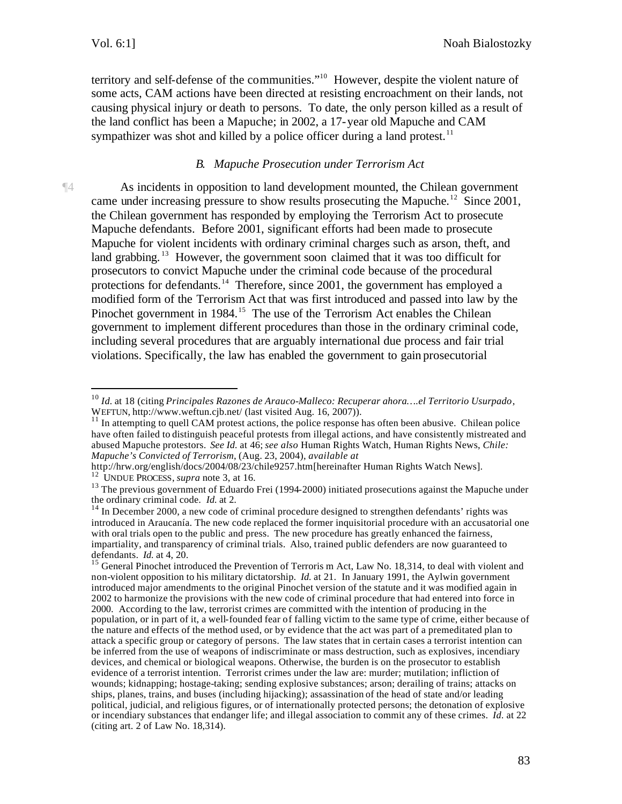territory and self-defense of the communities."<sup>10</sup> However, despite the violent nature of some acts, CAM actions have been directed at resisting encroachment on their lands, not causing physical injury or death to persons. To date, the only person killed as a result of the land conflict has been a Mapuche; in 2002, a 17-year old Mapuche and CAM sympathizer was shot and killed by a police officer during a land protest.<sup>11</sup>

## *B. Mapuche Prosecution under Terrorism Act*

 $\overline{a}$ 

¶4 As incidents in opposition to land development mounted, the Chilean government came under increasing pressure to show results prosecuting the Mapuche.<sup>12</sup> Since 2001, the Chilean government has responded by employing the Terrorism Act to prosecute Mapuche defendants. Before 2001, significant efforts had been made to prosecute Mapuche for violent incidents with ordinary criminal charges such as arson, theft, and land grabbing.<sup>13</sup> However, the government soon claimed that it was too difficult for prosecutors to convict Mapuche under the criminal code because of the procedural protections for defendants.<sup>14</sup> Therefore, since 2001, the government has employed a modified form of the Terrorism Act that was first introduced and passed into law by the Pinochet government in 1984.<sup>15</sup> The use of the Terrorism Act enables the Chilean government to implement different procedures than those in the ordinary criminal code, including several procedures that are arguably international due process and fair trial violations. Specifically, the law has enabled the government to gain prosecutorial

<sup>10</sup> *Id.* at 18 (citing *Principales Razones de Arauco-Malleco: Recuperar ahora….el Territorio Usurpado*, WEFTUN, http://www.weftun.cjb.net/ (last visited Aug. 16, 2007)).

 $11$  In attempting to quell CAM protest actions, the police response has often been abusive. Chilean police have often failed to distinguish peaceful protests from illegal actions, and have consistently mistreated and abused Mapuche protestors. *See Id.* at 46; *see also* Human Rights Watch, Human Rights News, *Chile: Mapuche's Convicted of Terrorism*, (Aug. 23, 2004), *available at*

http://hrw.org/english/docs/2004/08/23/chile9257.htm [hereinafter Human Rights Watch News]. <sup>12</sup> UNDUE PROCESS, *supra* note 3, at 16.

<sup>&</sup>lt;sup>13</sup> The previous government of Eduardo Frei (1994-2000) initiated prosecutions against the Mapuche under the ordinary criminal code. *Id.* at 2.

<sup>&</sup>lt;sup>14</sup> In December 2000, a new code of criminal procedure designed to strengthen defendants' rights was introduced in Araucanía. The new code replaced the former inquisitorial procedure with an accusatorial one with oral trials open to the public and press. The new procedure has greatly enhanced the fairness, impartiality, and transparency of criminal trials. Also, trained public defenders are now guaranteed to defendants. *Id.* at 4, 20.

<sup>&</sup>lt;sup>15</sup> General Pinochet introduced the Prevention of Terroris m Act, Law No. 18,314, to deal with violent and non-violent opposition to his military dictatorship. *Id.* at 21. In January 1991, the Aylwin government introduced major amendments to the original Pinochet version of the statute and it was modified again in 2002 to harmonize the provisions with the new code of criminal procedure that had entered into force in 2000. According to the law, terrorist crimes are committed with the intention of producing in the population, or in part of it, a well-founded fear of falling victim to the same type of crime, either because of the nature and effects of the method used, or by evidence that the act was part of a premeditated plan to attack a specific group or category of persons. The law states that in certain cases a terrorist intention can be inferred from the use of weapons of indiscriminate or mass destruction, such as explosives, incendiary devices, and chemical or biological weapons. Otherwise, the burden is on the prosecutor to establish evidence of a terrorist intention. Terrorist crimes under the law are: murder; mutilation; infliction of wounds; kidnapping; hostage-taking; sending explosive substances; arson; derailing of trains; attacks on ships, planes, trains, and buses (including hijacking); assassination of the head of state and/or leading political, judicial, and religious figures, or of internationally protected persons; the detonation of explosive or incendiary substances that endanger life; and illegal association to commit any of these crimes. *Id.* at 22 (citing art. 2 of Law No. 18,314).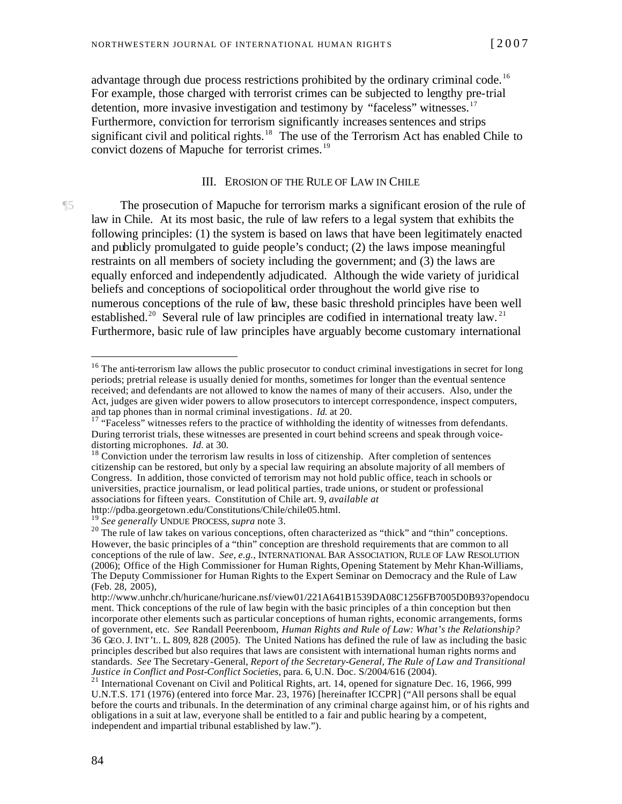advantage through due process restrictions prohibited by the ordinary criminal code.<sup>16</sup> For example, those charged with terrorist crimes can be subjected to lengthy pre-trial detention, more invasive investigation and testimony by "faceless" witnesses.<sup>17</sup> Furthermore, conviction for terrorism significantly increases sentences and strips significant civil and political rights.<sup>18</sup> The use of the Terrorism Act has enabled Chile to convict dozens of Mapuche for terrorist crimes.<sup>19</sup>

#### III. EROSION OF THE RULE OF LAW IN CHILE

 $\overline{a}$ 

¶5 The prosecution of Mapuche for terrorism marks a significant erosion of the rule of law in Chile. At its most basic, the rule of law refers to a legal system that exhibits the following principles: (1) the system is based on laws that have been legitimately enacted and publicly promulgated to guide people's conduct; (2) the laws impose meaningful restraints on all members of society including the government; and (3) the laws are equally enforced and independently adjudicated. Although the wide variety of juridical beliefs and conceptions of sociopolitical order throughout the world give rise to numerous conceptions of the rule of law, these basic threshold principles have been well established.<sup>20</sup> Several rule of law principles are codified in international treaty law.<sup>21</sup> Furthermore, basic rule of law principles have arguably become customary international

http://pdba.georgetown.edu/Constitutions/Chile/chile05.html.

<sup>&</sup>lt;sup>16</sup> The anti-terrorism law allows the public prosecutor to conduct criminal investigations in secret for long periods; pretrial release is usually denied for months, sometimes for longer than the eventual sentence received; and defendants are not allowed to know the names of many of their accusers. Also, under the Act, judges are given wider powers to allow prosecutors to intercept correspondence, inspect computers, and tap phones than in normal criminal investigations. *Id.* at 20.

<sup>&</sup>lt;sup>17</sup> "Faceless" witnesses refers to the practice of withholding the identity of witnesses from defendants. During terrorist trials, these witnesses are presented in court behind screens and speak through voicedistorting microphones. *Id.* at 30.

 $18$  Conviction under the terrorism law results in loss of citizenship. After completion of sentences citizenship can be restored, but only by a special law requiring an absolute majority of all members of Congress. In addition, those convicted of terrorism may not hold public office, teach in schools or universities, practice journalism, or lead political parties, trade unions, or student or professional associations for fifteen years. Constitution of Chile art. 9, *available at* 

<sup>19</sup> *See generally* UNDUE PROCESS, *supra* note 3.

<sup>&</sup>lt;sup>20</sup> The rule of law takes on various conceptions, often characterized as "thick" and "thin" conceptions. However, the basic principles of a "thin" conception are threshold requirements that are common to all conceptions of the rule of law. *See, e.g.,* INTERNATIONAL BAR ASSOCIATION, RULE OF LAW RESOLUTION (2006); Office of the High Commissioner for Human Rights, Opening Statement by Mehr Khan-Williams, The Deputy Commissioner for Human Rights to the Expert Seminar on Democracy and the Rule of Law (Feb. 28, 2005),

http://www.unhchr.ch/huricane/huricane.nsf/view01/221A641B1539DA08C1256FB7005D0B93?opendocu ment. Thick conceptions of the rule of law begin with the basic principles of a thin conception but then incorporate other elements such as particular conceptions of human rights, economic arrangements, forms of government, etc. *See* Randall Peerenboom, *Human Rights and Rule of Law: What's the Relationship?*  36 GEO. J. INT'L. L. 809, 828 (2005). The United Nations has defined the rule of law as including the basic principles described but also requires that laws are consistent with international human rights norms and standards. *See* The Secretary-General, *Report of the Secretary-General, The Rule of Law and Transitional Justice in Conflict and Post-Conflict Societies,* para. 6, U.N. Doc. S/2004/616 (2004).

 $^{21}$  International Covenant on Civil and Political Rights, art. 14, opened for signature Dec. 16, 1966, 999 U.N.T.S. 171 (1976) (entered into force Mar. 23, 1976) [hereinafter ICCPR] ("All persons shall be equal before the courts and tribunals. In the determination of any criminal charge against him, or of his rights and obligations in a suit at law, everyone shall be entitled to a fair and public hearing by a competent, independent and impartial tribunal established by law.").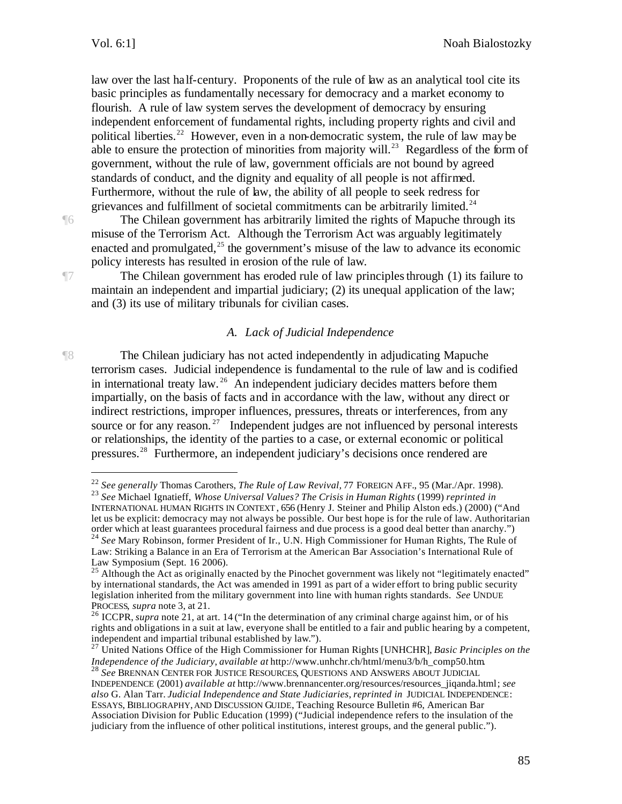law over the last half-century. Proponents of the rule of law as an analytical tool cite its basic principles as fundamentally necessary for democracy and a market economy to flourish. A rule of law system serves the development of democracy by ensuring independent enforcement of fundamental rights, including property rights and civil and political liberties.<sup>22</sup> However, even in a non-democratic system, the rule of law may be able to ensure the protection of minorities from majority will.<sup>23</sup> Regardless of the form of government, without the rule of law, government officials are not bound by agreed standards of conduct, and the dignity and equality of all people is not affirmed. Furthermore, without the rule of law, the ability of all people to seek redress for grievances and fulfillment of societal commitments can be arbitrarily limited.<sup>24</sup>

¶6 The Chilean government has arbitrarily limited the rights of Mapuche through its misuse of the Terrorism Act. Although the Terrorism Act was arguably legitimately enacted and promulgated, $^{25}$  the government's misuse of the law to advance its economic policy interests has resulted in erosion of the rule of law.

¶7 The Chilean government has eroded rule of law principles through (1) its failure to maintain an independent and impartial judiciary; (2) its unequal application of the law; and (3) its use of military tribunals for civilian cases.

## *A. Lack of Judicial Independence*

¶8 The Chilean judiciary has not acted independently in adjudicating Mapuche terrorism cases. Judicial independence is fundamental to the rule of law and is codified in international treaty law.<sup>26</sup> An independent judiciary decides matters before them impartially, on the basis of facts and in accordance with the law, without any direct or indirect restrictions, improper influences, pressures, threats or interferences, from any source or for any reason.<sup>27</sup> Independent judges are not influenced by personal interests or relationships, the identity of the parties to a case, or external economic or political pressures.<sup>28</sup> Furthermore, an independent judiciary's decisions once rendered are

 $\overline{a}$ 

<sup>27</sup> United Nations Office of the High Commissioner for Human Rights [UNHCHR], *Basic Principles on the Independence of the Judiciary*, *available at* http://www.unhchr.ch/html/menu3/b/h\_comp50.htm. <sup>28</sup> *See* BRENNAN CENTER FOR JUSTICE RESOURCES, QUESTIONS AND ANSWERS ABOUT JUDICIAL

<sup>22</sup> *See generally* Thomas Carothers, *The Rule of Law Revival,* 77 FOREIGN AFF., 95 (Mar./Apr. 1998). <sup>23</sup> *See* Michael Ignatieff, *Whose Universal Values? The Crisis in Human Rights* (1999) *reprinted in*  INTERNATIONAL HUMAN RIGHTS IN CONTEXT, 656 (Henry J. Steiner and Philip Alston eds.) (2000) ("And let us be explicit: democracy may not always be possible. Our best hope is for the rule of law. Authoritarian order which at least guarantees procedural fairness and due process is a good deal better than anarchy.") <sup>24</sup> See Mary Robinson, former President of Ir., U.N. High Commissioner for Human Rights, The Rule of Law: Striking a Balance in an Era of Terrorism at the American Bar Association's International Rule of

Law Symposium (Sept. 16 2006).

<sup>&</sup>lt;sup>25</sup> Although the Act as originally enacted by the Pinochet government was likely not "legitimately enacted" by international standards, the Act was amended in 1991 as part of a wider effort to bring public security legislation inherited from the military government into line with human rights standards. *See* UNDUE PROCESS, *supra* note 3, at 21.

<sup>26</sup> ICCPR, *supra* note 21, at art. 14 ("In the determination of any criminal charge against him, or of his rights and obligations in a suit at law, everyone shall be entitled to a fair and public hearing by a competent, independent and impartial tribunal established by law.").

INDEPENDENCE (2001) *available at* http://www.brennancenter.org/resources/resources\_jiqanda.html; *see also* G. Alan Tarr. *Judicial Independence and State Judiciaries*, *reprinted in* JUDICIAL INDEPENDENCE: ESSAYS, BIBLIOGRAPHY, AND DISCUSSION GUIDE, Teaching Resource Bulletin #6, American Bar Association Division for Public Education (1999) ("Judicial independence refers to the insulation of the judiciary from the influence of other political institutions, interest groups, and the general public.").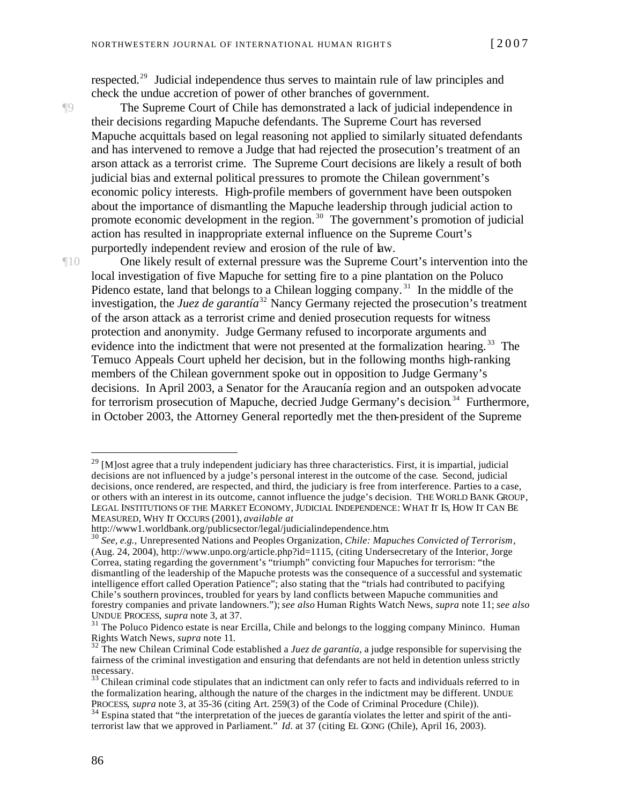respected.<sup>29</sup> Judicial independence thus serves to maintain rule of law principles and check the undue accretion of power of other branches of government.

¶9 The Supreme Court of Chile has demonstrated a lack of judicial independence in their decisions regarding Mapuche defendants. The Supreme Court has reversed Mapuche acquittals based on legal reasoning not applied to similarly situated defendants and has intervened to remove a Judge that had rejected the prosecution's treatment of an arson attack as a terrorist crime. The Supreme Court decisions are likely a result of both judicial bias and external political pressures to promote the Chilean government's economic policy interests. High-profile members of government have been outspoken about the importance of dismantling the Mapuche leadership through judicial action to promote economic development in the region.<sup>30</sup> The government's promotion of judicial action has resulted in inappropriate external influence on the Supreme Court's purportedly independent review and erosion of the rule of law.

 $\overline{a}$ 

¶10 One likely result of external pressure was the Supreme Court's intervention into the local investigation of five Mapuche for setting fire to a pine plantation on the Poluco Pidenco estate, land that belongs to a Chilean logging company.<sup>31</sup> In the middle of the investigation, the *Juez de garantía*<sup>32</sup> Nancy Germany rejected the prosecution's treatment of the arson attack as a terrorist crime and denied prosecution requests for witness protection and anonymity. Judge Germany refused to incorporate arguments and evidence into the indictment that were not presented at the formalization hearing.<sup>33</sup> The Temuco Appeals Court upheld her decision, but in the following months high-ranking members of the Chilean government spoke out in opposition to Judge Germany's decisions. In April 2003, a Senator for the Araucanía region and an outspoken advocate for terrorism prosecution of Mapuche, decried Judge Germany's decision.<sup>34</sup> Furthermore, in October 2003, the Attorney General reportedly met the then-president of the Supreme

 $^{29}$  [M]ost agree that a truly independent judiciary has three characteristics. First, it is impartial, judicial decisions are not influenced by a judge's personal interest in the outcome of the case. Second, judicial decisions, once rendered, are respected, and third, the judiciary is free from interference. Parties to a case, or others with an interest in its outcome, cannot influence the judge's decision. THE WORLD BANK GROUP, LEGAL INSTITUTIONS OF THE MARKET ECONOMY, JUDICIAL INDEPENDENCE: WHAT IT IS, HOW IT CAN BE MEASURED, WHY IT OCCURS (2001), *available at* 

http://www1.worldbank.org/publicsector/legal/judicialindependence.htm.

<sup>30</sup> *See, e.g.,* Unrepresented Nations and Peoples Organization, *Chile: Mapuches Convicted of Terrorism*, (Aug. 24, 2004), http://www.unpo.org/article.php?id=1115, (citing Undersecretary of the Interior, Jorge Correa, stating regarding the government's "triumph" convicting four Mapuches for terrorism: "the dismantling of the leadership of the Mapuche protests was the consequence of a successful and systematic intelligence effort called Operation Patience"; also stating that the "trials had contributed to pacifying Chile's southern provinces, troubled for years by land conflicts between Mapuche communities and forestry companies and private landowners."); *see also* Human Rights Watch News, *supra* note 11; *see also*  UNDUE PROCESS, *supra* note 3, at 37.

<sup>&</sup>lt;sup>31</sup> The Poluco Pidenco estate is near Ercilla, Chile and belongs to the logging company Mininco. Human Rights Watch News, *supra* note 11.

 $32$  The new Chilean Criminal Code established a *Juez de garantía*, a judge responsible for supervising the fairness of the criminal investigation and ensuring that defendants are not held in detention unless strictly necessary.

<sup>&</sup>lt;sup>33</sup> Chilean criminal code stipulates that an indictment can only refer to facts and individuals referred to in the formalization hearing, although the nature of the charges in the indictment may be different. UNDUE PROCESS, *supra* note 3, at 35-36 (citing Art. 259(3) of the Code of Criminal Procedure (Chile)).

<sup>&</sup>lt;sup>34</sup> Espina stated that "the interpretation of the jueces de garantía violates the letter and spirit of the antiterrorist law that we approved in Parliament." *Id.* at 37 (citing EL GONG (Chile), April 16, 2003).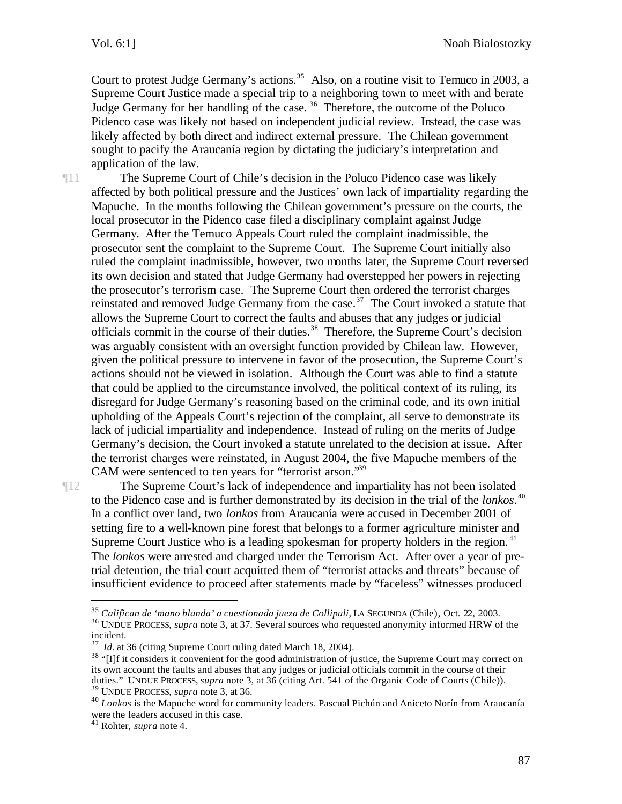Court to protest Judge Germany's actions.<sup>35</sup> Also, on a routine visit to Temuco in 2003, a Supreme Court Justice made a special trip to a neighboring town to meet with and berate Judge Germany for her handling of the case. <sup>36</sup> Therefore, the outcome of the Poluco Pidenco case was likely not based on independent judicial review. Instead, the case was likely affected by both direct and indirect external pressure. The Chilean government sought to pacify the Araucanía region by dictating the judiciary's interpretation and application of the law.

¶11 The Supreme Court of Chile's decision in the Poluco Pidenco case was likely affected by both political pressure and the Justices' own lack of impartiality regarding the Mapuche. In the months following the Chilean government's pressure on the courts, the local prosecutor in the Pidenco case filed a disciplinary complaint against Judge Germany. After the Temuco Appeals Court ruled the complaint inadmissible, the prosecutor sent the complaint to the Supreme Court. The Supreme Court initially also ruled the complaint inadmissible, however, two months later, the Supreme Court reversed its own decision and stated that Judge Germany had overstepped her powers in rejecting the prosecutor's terrorism case. The Supreme Court then ordered the terrorist charges reinstated and removed Judge Germany from the case.<sup>37</sup> The Court invoked a statute that allows the Supreme Court to correct the faults and abuses that any judges or judicial officials commit in the course of their duties.<sup>38</sup> Therefore, the Supreme Court's decision was arguably consistent with an oversight function provided by Chilean law. However, given the political pressure to intervene in favor of the prosecution, the Supreme Court's actions should not be viewed in isolation. Although the Court was able to find a statute that could be applied to the circumstance involved, the political context of its ruling, its disregard for Judge Germany's reasoning based on the criminal code, and its own initial upholding of the Appeals Court's rejection of the complaint, all serve to demonstrate its lack of judicial impartiality and independence. Instead of ruling on the merits of Judge Germany's decision, the Court invoked a statute unrelated to the decision at issue. After the terrorist charges were reinstated, in August 2004, the five Mapuche members of the CAM were sentenced to ten years for "terrorist arson."<sup>39</sup>

 $\overline{a}$ 

¶12 The Supreme Court's lack of independence and impartiality has not been isolated to the Pidenco case and is further demonstrated by its decision in the trial of the *lonkos*. 40 In a conflict over land, two *lonkos* from Araucanía were accused in December 2001 of setting fire to a well-known pine forest that belongs to a former agriculture minister and Supreme Court Justice who is a leading spokesman for property holders in the region.<sup>41</sup> The *lonkos* were arrested and charged under the Terrorism Act. After over a year of pretrial detention, the trial court acquitted them of "terrorist attacks and threats" because of insufficient evidence to proceed after statements made by "faceless" witnesses produced

<sup>&</sup>lt;sup>35</sup> Califican de 'mano blanda' a cuestionada jueza de Collipuli, LA SEGUNDA (Chile), Oct. 22, 2003.

<sup>36</sup> UNDUE PROCESS, *supra* note 3, at 37. Several sources who requested anonymity informed HRW of the incident.

<sup>&</sup>lt;sup>37</sup> *Id.* at 36 (citing Supreme Court ruling dated March 18, 2004).

<sup>&</sup>lt;sup>38</sup> "[I]f it considers it convenient for the good administration of justice, the Supreme Court may correct on its own account the faults and abuses that any judges or judicial officials commit in the course of their duties." UNDUE PROCESS, *supra* note 3, at 36 (citing Art. 541 of the Organic Code of Courts (Chile)). <sup>39</sup> UNDUE PROCESS, *supra* note 3, at 36.

<sup>40</sup> *Lonkos* is the Mapuche word for community leaders. Pascual Pichún and Aniceto Norín from Araucanía were the leaders accused in this case.

<sup>41</sup> Rohter, *supra* note 4.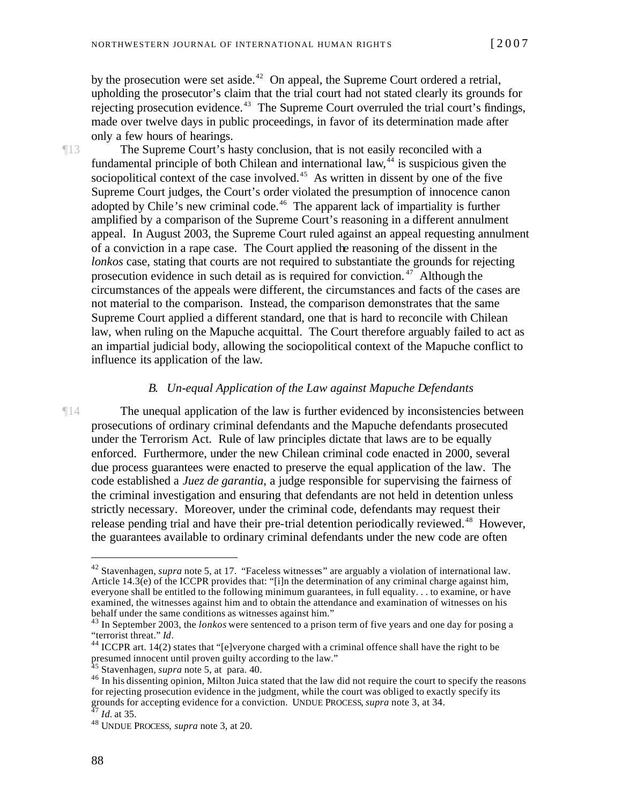by the prosecution were set aside.<sup>42</sup> On appeal, the Supreme Court ordered a retrial, upholding the prosecutor's claim that the trial court had not stated clearly its grounds for rejecting prosecution evidence.<sup>43</sup> The Supreme Court overruled the trial court's findings, made over twelve days in public proceedings, in favor of its determination made after only a few hours of hearings.

The Supreme Court's hasty conclusion, that is not easily reconciled with a fundamental principle of both Chilean and international law,<sup>44</sup> is suspicious given the sociopolitical context of the case involved.<sup>45</sup> As written in dissent by one of the five Supreme Court judges, the Court's order violated the presumption of innocence canon adopted by Chile's new criminal code.<sup>46</sup> The apparent lack of impartiality is further amplified by a comparison of the Supreme Court's reasoning in a different annulment appeal. In August 2003, the Supreme Court ruled against an appeal requesting annulment of a conviction in a rape case. The Court applied the reasoning of the dissent in the *lonkos* case, stating that courts are not required to substantiate the grounds for rejecting prosecution evidence in such detail as is required for conviction.<sup>47</sup> Although the circumstances of the appeals were different, the circumstances and facts of the cases are not material to the comparison. Instead, the comparison demonstrates that the same Supreme Court applied a different standard, one that is hard to reconcile with Chilean law, when ruling on the Mapuche acquittal. The Court therefore arguably failed to act as an impartial judicial body, allowing the sociopolitical context of the Mapuche conflict to influence its application of the law.

#### *B. Un-equal Application of the Law against Mapuche Defendants*

¶14 The unequal application of the law is further evidenced by inconsistencies between prosecutions of ordinary criminal defendants and the Mapuche defendants prosecuted under the Terrorism Act. Rule of law principles dictate that laws are to be equally enforced. Furthermore, under the new Chilean criminal code enacted in 2000, several due process guarantees were enacted to preserve the equal application of the law. The code established a *Juez de garantia*, a judge responsible for supervising the fairness of the criminal investigation and ensuring that defendants are not held in detention unless strictly necessary. Moreover, under the criminal code, defendants may request their release pending trial and have their pre-trial detention periodically reviewed.<sup>48</sup> However, the guarantees available to ordinary criminal defendants under the new code are often

<sup>42</sup> Stavenhagen, *supra* note 5, at 17. "Faceless witnesses" are arguably a violation of international law. Article 14.3(e) of the ICCPR provides that: "[i]n the determination of any criminal charge against him, everyone shall be entitled to the following minimum guarantees, in full equality. . . to examine, or have examined, the witnesses against him and to obtain the attendance and examination of witnesses on his behalf under the same conditions as witnesses against him."

<sup>43</sup> In September 2003, the *lonkos* were sentenced to a prison term of five years and one day for posing a "terrorist threat." *Id*.

<sup>44</sup> ICCPR art. 14(2) states that "[e]veryone charged with a criminal offence shall have the right to be presumed innocent until proven guilty according to the law."

<sup>45</sup> Stavenhagen, *supra* note 5, at para. 40.

<sup>&</sup>lt;sup>46</sup> In his dissenting opinion, Milton Juica stated that the law did not require the court to specify the reasons for rejecting prosecution evidence in the judgment, while the court was obliged to exactly specify its grounds for accepting evidence for a conviction. UNDUE PROCESS, *supra* note 3, at 34.

<sup>47</sup> *Id.* at 35.

<sup>48</sup> UNDUE PROCESS, *supra* note 3, at 20.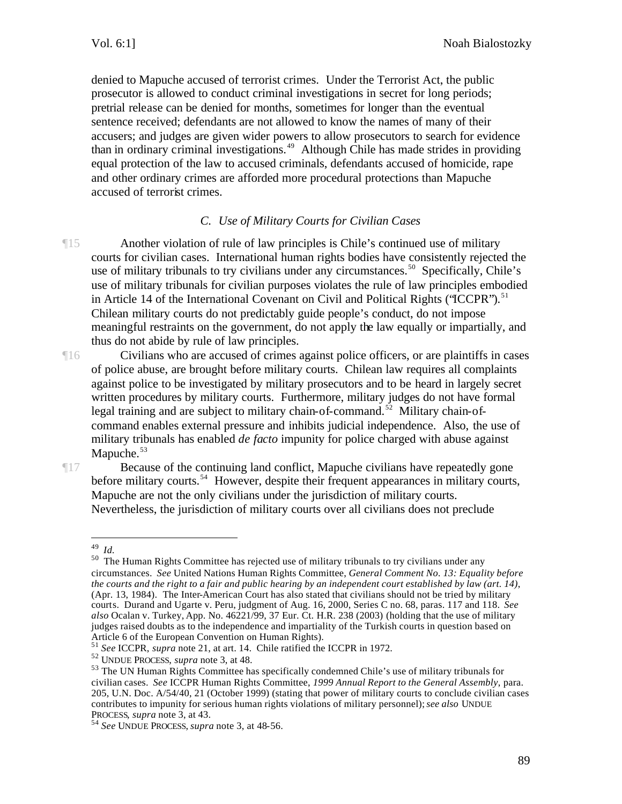denied to Mapuche accused of terrorist crimes. Under the Terrorist Act, the public prosecutor is allowed to conduct criminal investigations in secret for long periods; pretrial release can be denied for months, sometimes for longer than the eventual sentence received; defendants are not allowed to know the names of many of their accusers; and judges are given wider powers to allow prosecutors to search for evidence than in ordinary criminal investigations.<sup>49</sup> Although Chile has made strides in providing equal protection of the law to accused criminals, defendants accused of homicide, rape and other ordinary crimes are afforded more procedural protections than Mapuche accused of terrorist crimes.

## *C. Use of Military Courts for Civilian Cases*

¶15 Another violation of rule of law principles is Chile's continued use of military courts for civilian cases. International human rights bodies have consistently rejected the use of military tribunals to try civilians under any circumstances.<sup>50</sup> Specifically, Chile's use of military tribunals for civilian purposes violates the rule of law principles embodied in Article 14 of the International Covenant on Civil and Political Rights ('ICCPR').<sup>51</sup> Chilean military courts do not predictably guide people's conduct, do not impose meaningful restraints on the government, do not apply the law equally or impartially, and thus do not abide by rule of law principles.

¶16 Civilians who are accused of crimes against police officers, or are plaintiffs in cases of police abuse, are brought before military courts. Chilean law requires all complaints against police to be investigated by military prosecutors and to be heard in largely secret written procedures by military courts. Furthermore, military judges do not have formal legal training and are subject to military chain-of-command.<sup>52</sup> Military chain-ofcommand enables external pressure and inhibits judicial independence. Also, the use of military tribunals has enabled *de facto* impunity for police charged with abuse against Mapuche.<sup>53</sup>

¶17 Because of the continuing land conflict, Mapuche civilians have repeatedly gone before military courts.<sup>54</sup> However, despite their frequent appearances in military courts, Mapuche are not the only civilians under the jurisdiction of military courts. Nevertheless, the jurisdiction of military courts over all civilians does not preclude

 49 *Id.*

<sup>&</sup>lt;sup>50</sup> The Human Rights Committee has rejected use of military tribunals to try civilians under any circumstances. *See* United Nations Human Rights Committee, *General Comment No. 13: Equality before the courts and the right to a fair and public hearing by an independent court established by law (art. 14)*, (Apr. 13, 1984). The Inter-American Court has also stated that civilians should not be tried by military courts. Durand and Ugarte v. Peru, judgment of Aug. 16, 2000, Series C no. 68, paras. 117 and 118. *See also* Ocalan v. Turkey, App. No. 46221/99, 37 Eur. Ct. H.R. 238 (2003) (holding that the use of military judges raised doubts as to the independence and impartiality of the Turkish courts in question based on Article 6 of the European Convention on Human Rights).

<sup>51</sup> *See* ICCPR, *supra* note 21, at art. 14. Chile ratified the ICCPR in 1972.

<sup>52</sup> UNDUE PROCESS, *supra* note 3, at 48.

<sup>&</sup>lt;sup>53</sup> The UN Human Rights Committee has specifically condemned Chile's use of military tribunals for civilian cases. *See* ICCPR Human Rights Committee, *1999 Annual Report to the General Assembly*, para. 205, U.N. Doc. A/54/40, 21 (October 1999) (stating that power of military courts to conclude civilian cases contributes to impunity for serious human rights violations of military personnel); *see also* UNDUE PROCESS, *supra* note 3, at 43.

<sup>54</sup> *See* UNDUE PROCESS, *supra* note 3, at 48-56.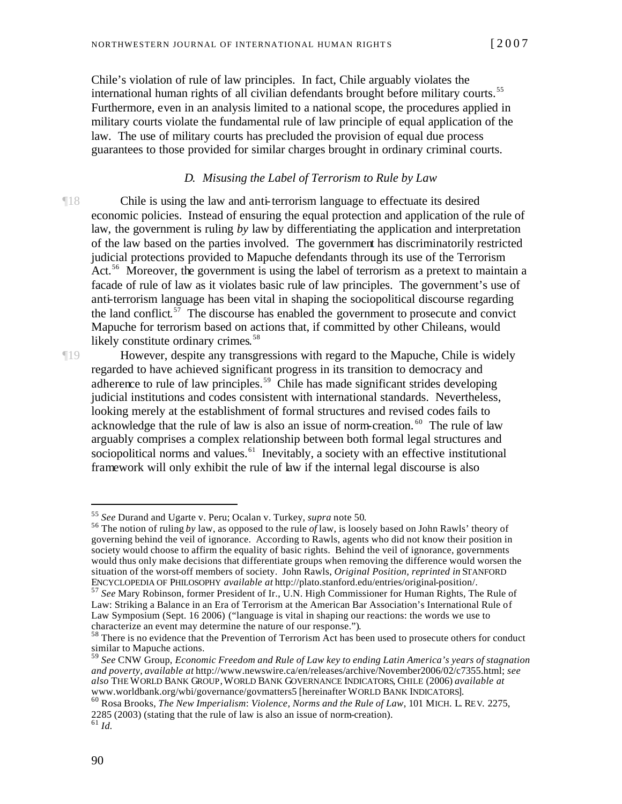Chile's violation of rule of law principles. In fact, Chile arguably violates the international human rights of all civilian defendants brought before military courts.<sup>55</sup> Furthermore, even in an analysis limited to a national scope, the procedures applied in military courts violate the fundamental rule of law principle of equal application of the law. The use of military courts has precluded the provision of equal due process guarantees to those provided for similar charges brought in ordinary criminal courts.

#### *D. Misusing the Label of Terrorism to Rule by Law*

¶18 Chile is using the law and anti-terrorism language to effectuate its desired economic policies. Instead of ensuring the equal protection and application of the rule of law, the government is ruling *by* law by differentiating the application and interpretation of the law based on the parties involved. The government has discriminatorily restricted judicial protections provided to Mapuche defendants through its use of the Terrorism Act.<sup>56</sup> Moreover, the government is using the label of terrorism as a pretext to maintain a facade of rule of law as it violates basic rule of law principles. The government's use of anti-terrorism language has been vital in shaping the sociopolitical discourse regarding the land conflict.<sup>57</sup> The discourse has enabled the government to prosecute and convict Mapuche for terrorism based on actions that, if committed by other Chileans, would likely constitute ordinary crimes.<sup>58</sup>

 $\overline{a}$ 

¶19 However, despite any transgressions with regard to the Mapuche, Chile is widely regarded to have achieved significant progress in its transition to democracy and adherence to rule of law principles.<sup>59</sup> Chile has made significant strides developing judicial institutions and codes consistent with international standards. Nevertheless, looking merely at the establishment of formal structures and revised codes fails to acknowledge that the rule of law is also an issue of norm-creation.<sup>60</sup> The rule of law arguably comprises a complex relationship between both formal legal structures and sociopolitical norms and values.<sup>61</sup> Inevitably, a society with an effective institutional framework will only exhibit the rule of law if the internal legal discourse is also

<sup>55</sup> *See* Durand and Ugarte v. Peru; Ocalan v. Turkey, *supra* note 50.

<sup>56</sup> The notion of ruling *by* law, as opposed to the rule *of* law, is loosely based on John Rawls' theory of governing behind the veil of ignorance. According to Rawls, agents who did not know their position in society would choose to affirm the equality of basic rights. Behind the veil of ignorance, governments would thus only make decisions that differentiate groups when removing the difference would worsen the situation of the worst-off members of society. John Rawls, *Original Position, reprinted in* STANFORD ENCYCLOPEDIA OF PHILOSOPHY *available at* http://plato.stanford.edu/entries/original-position/.

<sup>57</sup> *See* Mary Robinson, former President of Ir., U.N. High Commissioner for Human Rights, The Rule of Law: Striking a Balance in an Era of Terrorism at the American Bar Association's International Rule of Law Symposium (Sept. 16 2006) ("language is vital in shaping our reactions: the words we use to characterize an event may determine the nature of our response.").

 $58$  There is no evidence that the Prevention of Terrorism Act has been used to prosecute others for conduct similar to Mapuche actions.

<sup>59</sup> *See* CNW Group, *Economic Freedom and Rule of Law key to ending Latin America's years of stagnation and poverty*, *available at* http://www.newswire.ca/en/releases/archive/November2006/02/c7355.html; *see also* THE WORLD BANK GROUP,WORLD BANK GOVERNANCE INDICATORS, CHILE (2006) *available at*  www.worldbank.org/wbi/governance/govmatters5 [hereinafter WORLD BANK INDICATORS].

<sup>60</sup> Rosa Brooks, *The New Imperialism*: *Violence, Norms and the Rule of Law*, 101 MICH. L. REV. 2275, 2285 (2003) (stating that the rule of law is also an issue of norm-creation).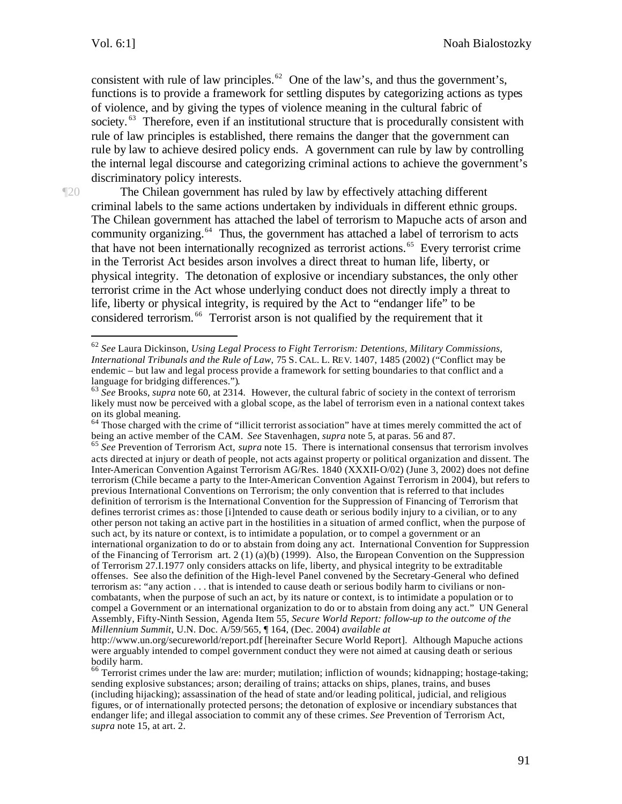consistent with rule of law principles.<sup>62</sup> One of the law's, and thus the government's, functions is to provide a framework for settling disputes by categorizing actions as types of violence, and by giving the types of violence meaning in the cultural fabric of society.<sup>63</sup> Therefore, even if an institutional structure that is procedurally consistent with rule of law principles is established, there remains the danger that the government can rule by law to achieve desired policy ends. A government can rule by law by controlling the internal legal discourse and categorizing criminal actions to achieve the government's discriminatory policy interests.

 $\overline{a}$ 

¶20 The Chilean government has ruled by law by effectively attaching different criminal labels to the same actions undertaken by individuals in different ethnic groups. The Chilean government has attached the label of terrorism to Mapuche acts of arson and community organizing.<sup>64</sup> Thus, the government has attached a label of terrorism to acts that have not been internationally recognized as terrorist actions.<sup>65</sup> Every terrorist crime in the Terrorist Act besides arson involves a direct threat to human life, liberty, or physical integrity. The detonation of explosive or incendiary substances, the only other terrorist crime in the Act whose underlying conduct does not directly imply a threat to life, liberty or physical integrity, is required by the Act to "endanger life" to be considered terrorism. <sup>66</sup> Terrorist arson is not qualified by the requirement that it

<sup>62</sup> *See* Laura Dickinson, *Using Legal Process to Fight Terrorism: Detentions, Military Commissions, International Tribunals and the Rule of Law*, 75 S. CAL. L. REV. 1407, 1485 (2002) ("Conflict may be endemic – but law and legal process provide a framework for setting boundaries to that conflict and a language for bridging differences.").

<sup>63</sup> *See* Brooks, *supra* note 60, at 2314. However, the cultural fabric of society in the context of terrorism likely must now be perceived with a global scope, as the label of terrorism even in a national context takes on its global meaning.

<sup>&</sup>lt;sup>64</sup> Those charged with the crime of "illicit terrorist association" have at times merely committed the act of being an active member of the CAM. *See* Stavenhagen, *supra* note 5, at paras. 56 and 87.

<sup>65</sup> *See* Prevention of Terrorism Act, *supra* note 15. There is international consensus that terrorism involves acts directed at injury or death of people, not acts against property or political organization and dissent. The Inter-American Convention Against Terrorism AG/Res. 1840 (XXXII-O/02) (June 3, 2002) does not define terrorism (Chile became a party to the Inter-American Convention Against Terrorism in 2004), but refers to previous International Conventions on Terrorism; the only convention that is referred to that includes definition of terrorism is the International Convention for the Suppression of Financing of Terrorism that defines terrorist crimes as: those [i]ntended to cause death or serious bodily injury to a civilian, or to any other person not taking an active part in the hostilities in a situation of armed conflict, when the purpose of such act, by its nature or context, is to intimidate a population, or to compel a government or an international organization to do or to abstain from doing any act. International Convention for Suppression of the Financing of Terrorism art. 2 (1) (a)(b) (1999). Also, the European Convention on the Suppression of Terrorism 27.I.1977 only considers attacks on life, liberty, and physical integrity to be extraditable offenses. See also the definition of the High-level Panel convened by the Secretary-General who defined terrorism as: "any action . . . that is intended to cause death or serious bodily harm to civilians or noncombatants, when the purpose of such an act, by its nature or context, is to intimidate a population or to compel a Government or an international organization to do or to abstain from doing any act." UN General Assembly, Fifty-Ninth Session, Agenda Item 55, *Secure World Report: follow-up to the outcome of the Millennium Summit*, U.N. Doc. A/59/565, ¶ 164, (Dec. 2004) *available at*

http://www.un.org/secureworld/report.pdf [hereinafter Secure World Report]. Although Mapuche actions were arguably intended to compel government conduct they were not aimed at causing death or serious bodily harm.

<sup>&</sup>lt;sup>66</sup> Terrorist crimes under the law are: murder; mutilation; infliction of wounds; kidnapping; hostage-taking; sending explosive substances; arson; derailing of trains; attacks on ships, planes, trains, and buses (including hijacking); assassination of the head of state and/or leading political, judicial, and religious figures, or of internationally protected persons; the detonation of explosive or incendiary substances that endanger life; and illegal association to commit any of these crimes. *See* Prevention of Terrorism Act, *supra* note 15, at art. 2.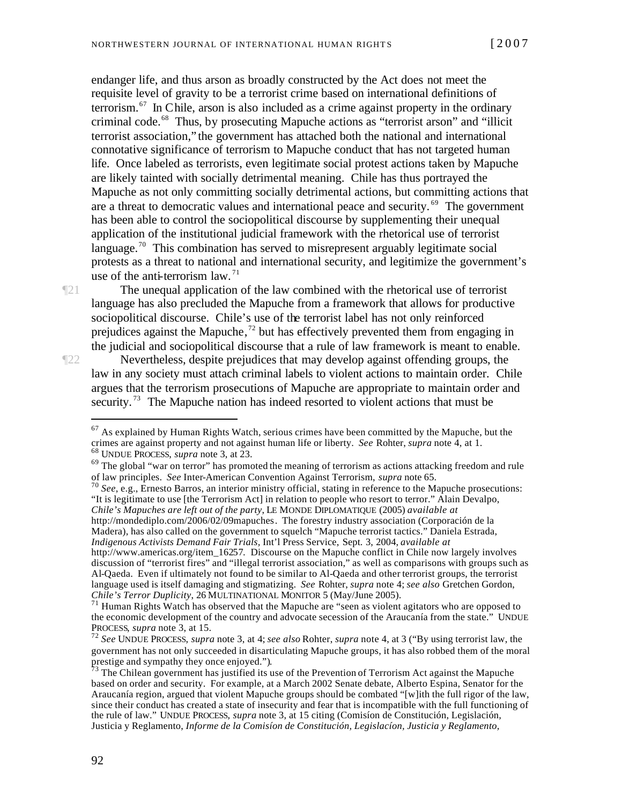endanger life, and thus arson as broadly constructed by the Act does not meet the requisite level of gravity to be a terrorist crime based on international definitions of terrorism.<sup>67</sup> In Chile, arson is also included as a crime against property in the ordinary criminal code.<sup>68</sup> Thus, by prosecuting Mapuche actions as "terrorist arson" and "illicit terrorist association," the government has attached both the national and international connotative significance of terrorism to Mapuche conduct that has not targeted human life. Once labeled as terrorists, even legitimate social protest actions taken by Mapuche are likely tainted with socially detrimental meaning. Chile has thus portrayed the Mapuche as not only committing socially detrimental actions, but committing actions that are a threat to democratic values and international peace and security.<sup>69</sup> The government has been able to control the sociopolitical discourse by supplementing their unequal application of the institutional judicial framework with the rhetorical use of terrorist language.<sup>70</sup> This combination has served to misrepresent arguably legitimate social protests as a threat to national and international security, and legitimize the government's use of the anti-terrorism law.<sup>71</sup>

 $\overline{a}$ 

¶21 The unequal application of the law combined with the rhetorical use of terrorist language has also precluded the Mapuche from a framework that allows for productive sociopolitical discourse. Chile's use of the terrorist label has not only reinforced prejudices against the Mapuche,<sup> $72$ </sup> but has effectively prevented them from engaging in the judicial and sociopolitical discourse that a rule of law framework is meant to enable.

¶22 Nevertheless, despite prejudices that may develop against offending groups, the law in any society must attach criminal labels to violent actions to maintain order. Chile argues that the terrorism prosecutions of Mapuche are appropriate to maintain order and security.<sup>73</sup> The Mapuche nation has indeed resorted to violent actions that must be

<sup>70</sup> *See*, e.g., Ernesto Barros, an interior ministry official, stating in reference to the Mapuche prosecutions: "It is legitimate to use [the Terrorism Act] in relation to people who resort to terror." Alain Devalpo, *Chile's Mapuches are left out of the party*, LE MONDE DIPLOMATIQUE (2005) *available at*  http://mondediplo.com/2006/02/09mapuches. The forestry industry association (Corporación de la

Madera), has also called on the government to squelch "Mapuche terrorist tactics." Daniela Estrada, *Indigenous Activists Demand Fair Trials,* Int'l Press Service, Sept. 3, 2004, *available at* 

http://www.americas.org/item\_16257. Discourse on the Mapuche conflict in Chile now largely involves discussion of "terrorist fires" and "illegal terrorist association," as well as comparisons with groups such as Al-Qaeda. Even if ultimately not found to be similar to Al-Qaeda and other terrorist groups, the terrorist language used is itself damaging and stigmatizing. *See* Rohter, *supra* note 4; *see also* Gretchen Gordon, *Chile's Terror Duplicity*, 26 MULTINATIONAL MONITOR 5 (May/June 2005).

 $71$  Human Rights Watch has observed that the Mapuche are "seen as violent agitators who are opposed to the economic development of the country and advocate secession of the Araucanía from the state." UNDUE PROCESS, *supra* note 3, at 15.

<sup>72</sup> *See* UNDUE PROCESS, *supra* note 3, at 4; *see also* Rohter, *supra* note 4, at 3 ("By using terrorist law, the government has not only succeeded in disarticulating Mapuche groups, it has also robbed them of the moral prestige and sympathy they once enjoyed.").

 $<sup>67</sup>$  As explained by Human Rights Watch, serious crimes have been committed by the Mapuche, but the</sup> crimes are against property and not against human life or liberty. *See* Rohter, *supra* note 4, at 1. <sup>68</sup> UNDUE PROCESS, *supra* note 3, at 23.

 $69$  The global "war on terror" has promoted the meaning of terrorism as actions attacking freedom and rule of law principles. *See* Inter-American Convention Against Terrorism, *supra* note 65.

 $73$  The Chilean government has justified its use of the Prevention of Terrorism Act against the Mapuche based on order and security. For example, at a March 2002 Senate debate, Alberto Espina, Senator for the Araucanía region, argued that violent Mapuche groups should be combated "[w]ith the full rigor of the law, since their conduct has created a state of insecurity and fear that is incompatible with the full functioning of the rule of law." UNDUE PROCESS, *supra* note 3, at 15 citing (Comisíon de Constitución, Legislación*,*  Justicia y Reglamento, *Informe de la Comisíon de Constitución, Legislacíon, Justicia y Reglamento,*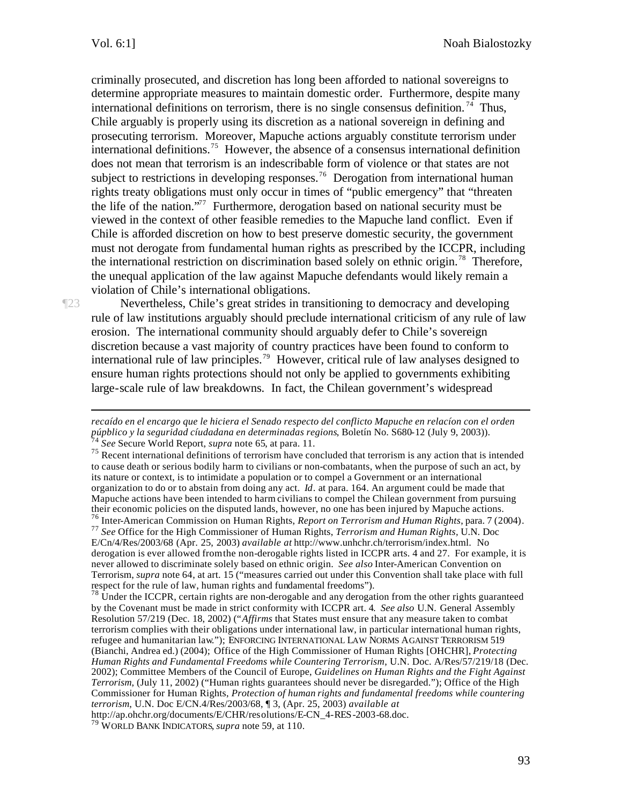criminally prosecuted, and discretion has long been afforded to national sovereigns to determine appropriate measures to maintain domestic order. Furthermore, despite many international definitions on terrorism, there is no single consensus definition.<sup>74</sup> Thus, Chile arguably is properly using its discretion as a national sovereign in defining and prosecuting terrorism. Moreover, Mapuche actions arguably constitute terrorism under international definitions.<sup>75</sup> However, the absence of a consensus international definition does not mean that terrorism is an indescribable form of violence or that states are not subject to restrictions in developing responses.<sup>76</sup> Derogation from international human rights treaty obligations must only occur in times of "public emergency" that "threaten the life of the nation."<sup>77</sup> Furthermore, derogation based on national security must be viewed in the context of other feasible remedies to the Mapuche land conflict. Even if Chile is afforded discretion on how to best preserve domestic security, the government must not derogate from fundamental human rights as prescribed by the ICCPR, including the international restriction on discrimination based solely on ethnic origin.<sup>78</sup> Therefore, the unequal application of the law against Mapuche defendants would likely remain a violation of Chile's international obligations.

 $\overline{a}$ 

¶23 Nevertheless, Chile's great strides in transitioning to democracy and developing rule of law institutions arguably should preclude international criticism of any rule of law erosion. The international community should arguably defer to Chile's sovereign discretion because a vast majority of country practices have been found to conform to international rule of law principles.<sup>79</sup> However, critical rule of law analyses designed to ensure human rights protections should not only be applied to governments exhibiting large-scale rule of law breakdowns. In fact, the Chilean government's widespread

<sup>75</sup> Recent international definitions of terrorism have concluded that terrorism is any action that is intended to cause death or serious bodily harm to civilians or non-combatants, when the purpose of such an act, by its nature or context, is to intimidate a population or to compel a Government or an international organization to do or to abstain from doing any act. *Id*. at para. 164. An argument could be made that Mapuche actions have been intended to harm civilians to compel the Chilean government from pursuing their economic policies on the disputed lands, however, no one has been injured by Mapuche actions. <sup>76</sup> Inter-American Commission on Human Rights, *Report on Terrorism and Human Rights*, para. 7 (2004). <sup>77</sup> *See* Office for the High Commissioner of Human Rights, *Terrorism and Human Rights,* U.N. Doc E/Cn/4/Res/2003/68 (Apr. 25, 2003) *available at* http://www.unhchr.ch/terrorism/index.html. No derogation is ever allowed from the non-derogable rights listed in ICCPR arts. 4 and 27. For example, it is never allowed to discriminate solely based on ethnic origin. *See also* Inter-American Convention on Terrorism, *supra* note 64, at art. 15 ("measures carried out under this Convention shall take place with full respect for the rule of law, human rights and fundamental freedoms").

 $78 \text{ Under the ICCPR, certain rights are non-derogable and any derogation from the other rights guaranteed.}$ by the Covenant must be made in strict conformity with ICCPR art. 4. *See also* U.N. General Assembly Resolution 57/219 (Dec. 18, 2002) ("*Affirms* that States must ensure that any measure taken to combat terrorism complies with their obligations under international law, in particular international human rights, refugee and humanitarian law."); ENFORCING INTERNATIONAL LAW NORMS AGAINST TERRORISM 519 (Bianchi, Andrea ed.) (2004); Office of the High Commissioner of Human Rights [OHCHR], *Protecting Human Rights and Fundamental Freedoms while Countering Terrorism*, U.N. Doc. A/Res/57/219/18 (Dec. 2002); Committee Members of the Council of Europe, *Guidelines on Human Rights and the Fight Against Terrorism*, (July 11, 2002) ("Human rights guarantees should never be disregarded."); Office of the High Commissioner for Human Rights, *Protection of human rights and fundamental freedoms while countering terrorism*, U.N. Doc E/CN.4/Res/2003/68, ¶ 3, (Apr. 25, 2003) *available at* 

http://ap.ohchr.org/documents/E/CHR/resolutions/E-CN\_4-RES-2003-68.doc.

<sup>79</sup> WORLD BANK INDICATORS, *supra* note 59, at 110.

*recaído en el encargo que le hiciera el Senado respecto del conflicto Mapuche en relacíon con el orden púpblico y la seguridad cíudadana en determinadas regions*, Boletín No. S680-12 (July 9, 2003)). <sup>74</sup> *See* Secure World Report, *supra* note 65, at para. 11.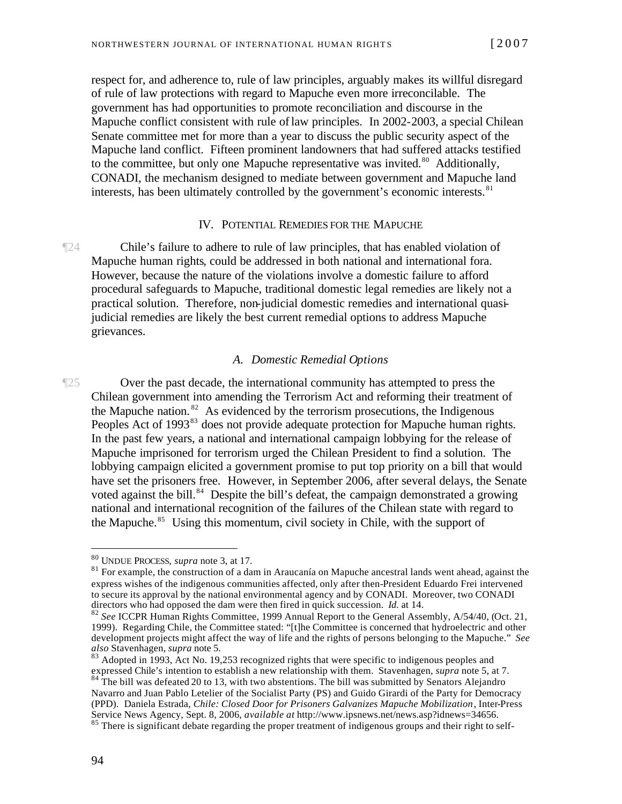respect for, and adherence to, rule of law principles, arguably makes its willful disregard of rule of law protections with regard to Mapuche even more irreconcilable. The government has had opportunities to promote reconciliation and discourse in the Mapuche conflict consistent with rule of law principles. In 2002-2003, a special Chilean Senate committee met for more than a year to discuss the public security aspect of the Mapuche land conflict. Fifteen prominent landowners that had suffered attacks testified to the committee, but only one Mapuche representative was invited.<sup>80</sup> Additionally, CONADI, the mechanism designed to mediate between government and Mapuche land interests, has been ultimately controlled by the government's economic interests.<sup>81</sup>

#### IV. POTENTIAL REMEDIES FOR THE MAPUCHE

¶24 Chile's failure to adhere to rule of law principles, that has enabled violation of Mapuche human rights, could be addressed in both national and international fora. However, because the nature of the violations involve a domestic failure to afford procedural safeguards to Mapuche, traditional domestic legal remedies are likely not a practical solution. Therefore, non-judicial domestic remedies and international quasijudicial remedies are likely the best current remedial options to address Mapuche grievances.

#### *A. Domestic Remedial Options*

¶25 Over the past decade, the international community has attempted to press the Chilean government into amending the Terrorism Act and reforming their treatment of the Mapuche nation.  $82$  As evidenced by the terrorism prosecutions, the Indigenous Peoples Act of 1993<sup>83</sup> does not provide adequate protection for Mapuche human rights. In the past few years, a national and international campaign lobbying for the release of Mapuche imprisoned for terrorism urged the Chilean President to find a solution. The lobbying campaign elicited a government promise to put top priority on a bill that would have set the prisoners free. However, in September 2006, after several delays, the Senate voted against the bill.<sup>84</sup> Despite the bill's defeat, the campaign demonstrated a growing national and international recognition of the failures of the Chilean state with regard to the Mapuche.<sup>85</sup> Using this momentum, civil society in Chile, with the support of

<sup>80</sup> UNDUE PROCESS, *supra* note 3, at 17.

<sup>&</sup>lt;sup>81</sup> For example, the construction of a dam in Araucanía on Mapuche ancestral lands went ahead, against the express wishes of the indigenous communities affected, only after then-President Eduardo Frei intervened to secure its approval by the national environmental agency and by CONADI. Moreover, two CONADI directors who had opposed the dam were then fired in quick succession. *Id.* at 14.

<sup>&</sup>lt;sup>82</sup> See ICCPR Human Rights Committee, 1999 Annual Report to the General Assembly, A/54/40, (Oct. 21, 1999). Regarding Chile, the Committee stated: "[t]he Committee is concerned that hydroelectric and other development projects might affect the way of life and the rights of persons belonging to the Mapuche." *See also* Stavenhagen, *supra* note 5.

<sup>83</sup> Adopted in 1993, Act No. 19,253 recognized rights that were specific to indigenous peoples and expressed Chile's intention to establish a new relationship with them. Stavenhagen, *supra* note 5, at 7.

 $84$ <sup>4</sup> The bill was defeated 20 to 13, with two abstentions. The bill was submitted by Senators Alejandro Navarro and Juan Pablo Letelier of the Socialist Party (PS) and Guido Girardi of the Party for Democracy (PPD). Daniela Estrada, *Chile: Closed Door for Prisoners Galvanizes Mapuche Mobilization*, Inter-Press Service News Agency, Sept. 8, 2006, *available at* http://www.ipsnews.net/news.asp?idnews=34656.

<sup>&</sup>lt;sup>85</sup> There is significant debate regarding the proper treatment of indigenous groups and their right to self-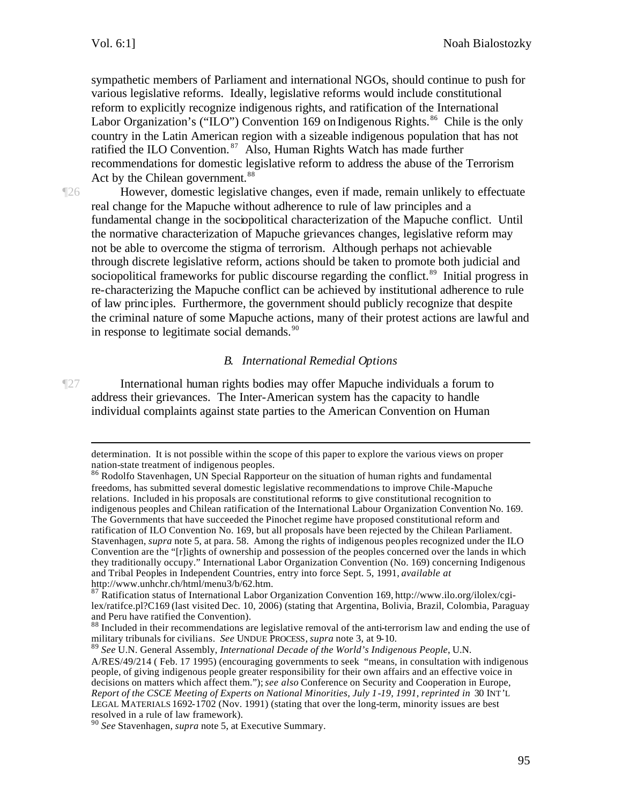sympathetic members of Parliament and international NGOs, should continue to push for various legislative reforms. Ideally, legislative reforms would include constitutional reform to explicitly recognize indigenous rights, and ratification of the International Labor Organization's ("ILO") Convention 169 on Indigenous Rights.<sup>86</sup> Chile is the only country in the Latin American region with a sizeable indigenous population that has not ratified the ILO Convention. <sup>87</sup> Also, Human Rights Watch has made further recommendations for domestic legislative reform to address the abuse of the Terrorism Act by the Chilean government.<sup>88</sup>

 $\overline{a}$ 

¶26 However, domestic legislative changes, even if made, remain unlikely to effectuate real change for the Mapuche without adherence to rule of law principles and a fundamental change in the sociopolitical characterization of the Mapuche conflict. Until the normative characterization of Mapuche grievances changes, legislative reform may not be able to overcome the stigma of terrorism. Although perhaps not achievable through discrete legislative reform, actions should be taken to promote both judicial and sociopolitical frameworks for public discourse regarding the conflict.<sup>89</sup> Initial progress in re-characterizing the Mapuche conflict can be achieved by institutional adherence to rule of law principles. Furthermore, the government should publicly recognize that despite the criminal nature of some Mapuche actions, many of their protest actions are lawful and in response to legitimate social demands.<sup>90</sup>

#### *B. International Remedial Options*

¶27 International human rights bodies may offer Mapuche individuals a forum to address their grievances. The Inter-American system has the capacity to handle individual complaints against state parties to the American Convention on Human

determination. It is not possible within the scope of this paper to explore the various views on proper nation-state treatment of indigenous peoples.

<sup>&</sup>lt;sup>86</sup> Rodolfo Stavenhagen, UN Special Rapporteur on the situation of human rights and fundamental freedoms, has submitted several domestic legislative recommendations to improve Chile-Mapuche relations. Included in his proposals are constitutional reforms to give constitutional recognition to indigenous peoples and Chilean ratification of the International Labour Organization Convention No. 169. The Governments that have succeeded the Pinochet regime have proposed constitutional reform and ratification of ILO Convention No. 169, but all proposals have been rejected by the Chilean Parliament. Stavenhagen, *supra* note 5, at para. 58. Among the rights of indigenous peoples recognized under the ILO Convention are the "[r]ights of ownership and possession of the peoples concerned over the lands in which they traditionally occupy." International Labor Organization Convention (No. 169) concerning Indigenous and Tribal Peoples in Independent Countries, entry into force Sept. 5, 1991, *available at*  http://www.unhchr.ch/html/menu3/b/62.htm.

<sup>87</sup> Ratification status of International Labor Organization Convention 169, http://www.ilo.org/ilolex/cgilex/ratifce.pl?C169 (last visited Dec. 10, 2006) (stating that Argentina, Bolivia, Brazil, Colombia, Paraguay and Peru have ratified the Convention).

 $88$  Included in their recommendations are legislative removal of the anti-terrorism law and ending the use of military tribunals for civilians. *See* UNDUE PROCESS, *supra* note 3, at 9-10.

<sup>89</sup> *See* U.N. General Assembly, *International Decade of the World's Indigenous People*, U.N. A/RES/49/214 ( Feb. 17 1995) (encouraging governments to seek "means, in consultation with indigenous people, of giving indigenous people greater responsibility for their own affairs and an effective voice in decisions on matters which affect them."); *see also* Conference on Security and Cooperation in Europe, *Report of the CSCE Meeting of Experts on National Minorities, July 1-19, 1991*, *reprinted in* 30 INT'L LEGAL MATERIALS 1692-1702 (Nov. 1991) (stating that over the long-term, minority issues are best resolved in a rule of law framework).

<sup>90</sup> *See* Stavenhagen, *supra* note 5, at Executive Summary.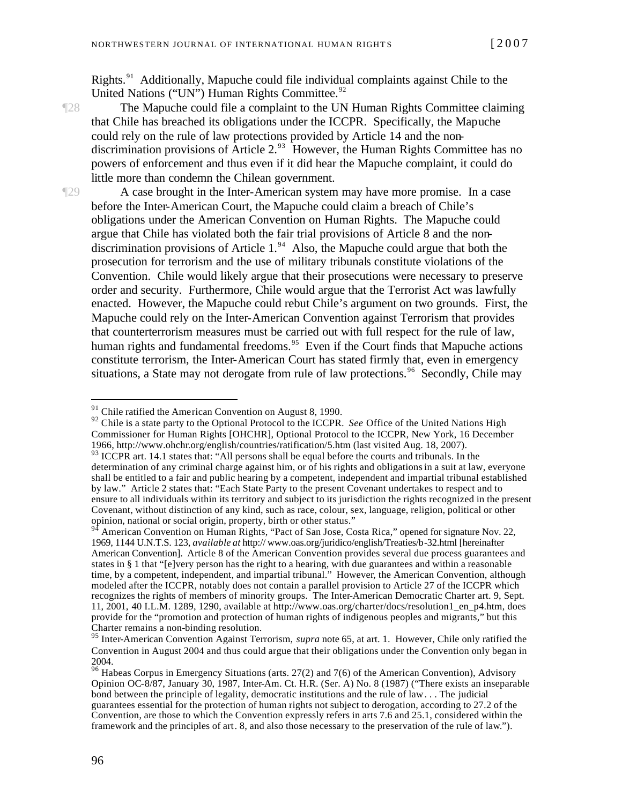Rights.<sup>91</sup> Additionally, Mapuche could file individual complaints against Chile to the United Nations ("UN") Human Rights Committee.<sup>92</sup>

¶28 The Mapuche could file a complaint to the UN Human Rights Committee claiming that Chile has breached its obligations under the ICCPR. Specifically, the Mapuche could rely on the rule of law protections provided by Article 14 and the nondiscrimination provisions of Article  $2.^{93}$ . However, the Human Rights Committee has no powers of enforcement and thus even if it did hear the Mapuche complaint, it could do little more than condemn the Chilean government.

 $\overline{a}$ 

¶29 A case brought in the Inter-American system may have more promise. In a case before the Inter-American Court, the Mapuche could claim a breach of Chile's obligations under the American Convention on Human Rights. The Mapuche could argue that Chile has violated both the fair trial provisions of Article 8 and the nondiscrimination provisions of Article  $1.^{94}$  Also, the Mapuche could argue that both the prosecution for terrorism and the use of military tribunals constitute violations of the Convention. Chile would likely argue that their prosecutions were necessary to preserve order and security. Furthermore, Chile would argue that the Terrorist Act was lawfully enacted. However, the Mapuche could rebut Chile's argument on two grounds. First, the Mapuche could rely on the Inter-American Convention against Terrorism that provides that counterterrorism measures must be carried out with full respect for the rule of law, human rights and fundamental freedoms.<sup>95</sup> Even if the Court finds that Mapuche actions constitute terrorism, the Inter-American Court has stated firmly that, even in emergency situations, a State may not derogate from rule of law protections.<sup>96</sup> Secondly, Chile may

 $91$  Chile ratified the American Convention on August 8, 1990.

<sup>&</sup>lt;sup>92</sup> Chile is a state party to the Optional Protocol to the ICCPR. *See* Office of the United Nations High Commissioner for Human Rights [OHCHR], Optional Protocol to the ICCPR, New York, 16 December 1966, http://www.ohchr.org/english/countries/ratification/5.htm (last visited Aug. 18, 2007).

<sup>93</sup> ICCPR art. 14.1 states that: "All persons shall be equal before the courts and tribunals. In the determination of any criminal charge against him, or of his rights and obligations in a suit at law, everyone shall be entitled to a fair and public hearing by a competent, independent and impartial tribunal established by law." Article 2 states that: "Each State Party to the present Covenant undertakes to respect and to ensure to all individuals within its territory and subject to its jurisdiction the rights recognized in the present Covenant, without distinction of any kind, such as race, colour, sex, language, religion, political or other opinion, national or social origin, property, birth or other status."

American Convention on Human Rights, "Pact of San Jose, Costa Rica," opened for signature Nov. 22, 1969, 1144 U.N.T.S. 123, *available at* http:// www.oas.org/juridico/english/Treaties/b-32.html [hereinafter American Convention]. Article 8 of the American Convention provides several due process guarantees and states in § 1 that "[e]very person has the right to a hearing, with due guarantees and within a reasonable time, by a competent, independent, and impartial tribunal." However, the American Convention, although modeled after the ICCPR, notably does not contain a parallel provision to Article 27 of the ICCPR which recognizes the rights of members of minority groups. The Inter-American Democratic Charter art. 9, Sept. 11, 2001, 40 I.L.M. 1289, 1290, available at http://www.oas.org/charter/docs/resolution1\_en\_p4.htm, does provide for the "promotion and protection of human rights of indigenous peoples and migrants," but this Charter remains a non-binding resolution.

<sup>95</sup> Inter-American Convention Against Terrorism, *supra* note 65, at art. 1. However, Chile only ratified the Convention in August 2004 and thus could argue that their obligations under the Convention only began in 2004.

 $96$  Habeas Corpus in Emergency Situations (arts. 27(2) and 7(6) of the American Convention), Advisory Opinion OC-8/87, January 30, 1987, Inter-Am. Ct. H.R. (Ser. A) No. 8 (1987) ("There exists an inseparable bond between the principle of legality, democratic institutions and the rule of law . . . The judicial guarantees essential for the protection of human rights not subject to derogation, according to 27.2 of the Convention, are those to which the Convention expressly refers in arts 7.6 and 25.1, considered within the framework and the principles of art. 8, and also those necessary to the preservation of the rule of law.").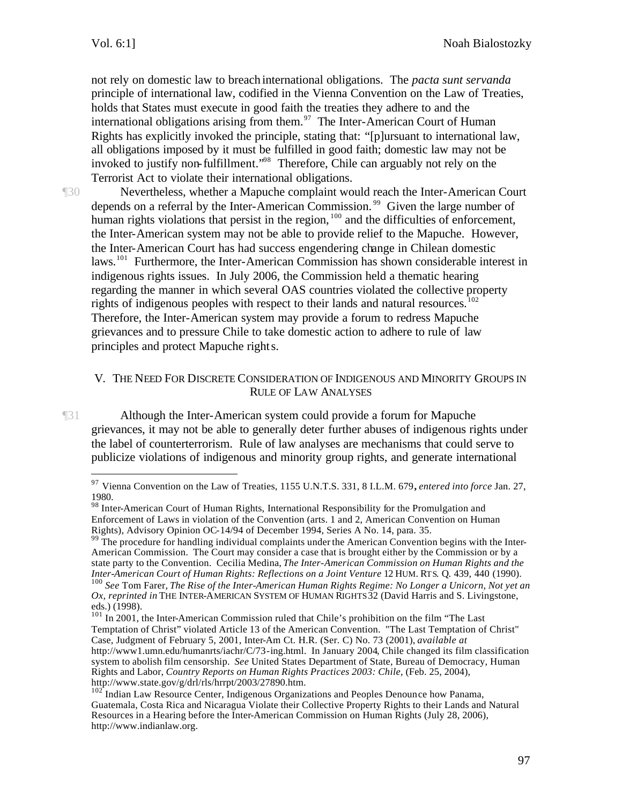not rely on domestic law to breach international obligations. The *pacta sunt servanda*  principle of international law, codified in the Vienna Convention on the Law of Treaties, holds that States must execute in good faith the treaties they adhere to and the international obligations arising from them.<sup>97</sup> The Inter-American Court of Human Rights has explicitly invoked the principle, stating that: "[p]ursuant to international law, all obligations imposed by it must be fulfilled in good faith; domestic law may not be invoked to justify non-fulfillment."<sup>98</sup> Therefore, Chile can arguably not rely on the Terrorist Act to violate their international obligations.

¶30 Nevertheless, whether a Mapuche complaint would reach the Inter-American Court depends on a referral by the Inter-American Commission.<sup>99</sup> Given the large number of human rights violations that persist in the region,  $100$  and the difficulties of enforcement, the Inter-American system may not be able to provide relief to the Mapuche. However, the Inter-American Court has had success engendering change in Chilean domestic laws.<sup>101</sup> Furthermore, the Inter-American Commission has shown considerable interest in indigenous rights issues. In July 2006, the Commission held a thematic hearing regarding the manner in which several OAS countries violated the collective property rights of indigenous peoples with respect to their lands and natural resources.<sup>102</sup> Therefore, the Inter-American system may provide a forum to redress Mapuche grievances and to pressure Chile to take domestic action to adhere to rule of law principles and protect Mapuche rights.

## V. THE NEED FOR DISCRETE CONSIDERATION OF INDIGENOUS AND MINORITY GROUPS IN RULE OF LAW ANALYSES

 $\overline{a}$ 

¶31 Although the Inter-American system could provide a forum for Mapuche grievances, it may not be able to generally deter further abuses of indigenous rights under the label of counterterrorism. Rule of law analyses are mechanisms that could serve to publicize violations of indigenous and minority group rights, and generate international

<sup>97</sup> Vienna Convention on the Law of Treaties, 1155 U.N.T.S. 331, 8 I.L.M. 679**,** *entered into force* Jan. 27, 1980.

<sup>&</sup>lt;sup>98</sup> Inter-American Court of Human Rights, International Responsibility for the Promulgation and Enforcement of Laws in violation of the Convention (arts. 1 and 2, American Convention on Human Rights), Advisory Opinion OC-14/94 of December 1994, Series A No. 14, para. 35.

<sup>&</sup>lt;sup>99</sup> The procedure for handling individual complaints under the American Convention begins with the Inter-American Commission. The Court may consider a case that is brought either by the Commission or by a state party to the Convention. Cecilia Medina, *The Inter-American Commission on Human Rights and the Inter-American Court of Human Rights: Reflections on a Joint Venture* 12 HUM. RTS. Q. 439, 440 (1990). <sup>100</sup> *See* Tom Farer, *The Rise of the Inter-American Human Rights Regime: No Longer a Unicorn, Not yet an* 

*Ox, reprinted in* THE INTER-AMERICAN SYSTEM OF HUMAN RIGHTS 32 (David Harris and S. Livingstone, eds.) (1998).

<sup>&</sup>lt;sup>101</sup> In 2001, the Inter-American Commission ruled that Chile's prohibition on the film "The Last Temptation of Christ" violated Article 13 of the American Convention. "The Last Temptation of Christ" Case, Judgment of February 5, 2001, Inter-Am Ct. H.R. (Ser. C) No. 73 (2001), *available at*  http://www1.umn.edu/humanrts/iachr/C/73-ing.html.In January 2004, Chile changed its film classification system to abolish film censorship. *See* United States Department of State, Bureau of Democracy, Human Rights and Labor, *Country Reports on Human Rights Practices 2003: Chile*, (Feb. 25, 2004), http://www.state.gov/g/drl/rls/hrrpt/2003/27890.htm.

 $102^{\circ}$  Indian Law Resource Center, Indigenous Organizations and Peoples Denounce how Panama, Guatemala, Costa Rica and Nicaragua Violate their Collective Property Rights to their Lands and Natural Resources in a Hearing before the Inter-American Commission on Human Rights (July 28, 2006), http://www.indianlaw.org.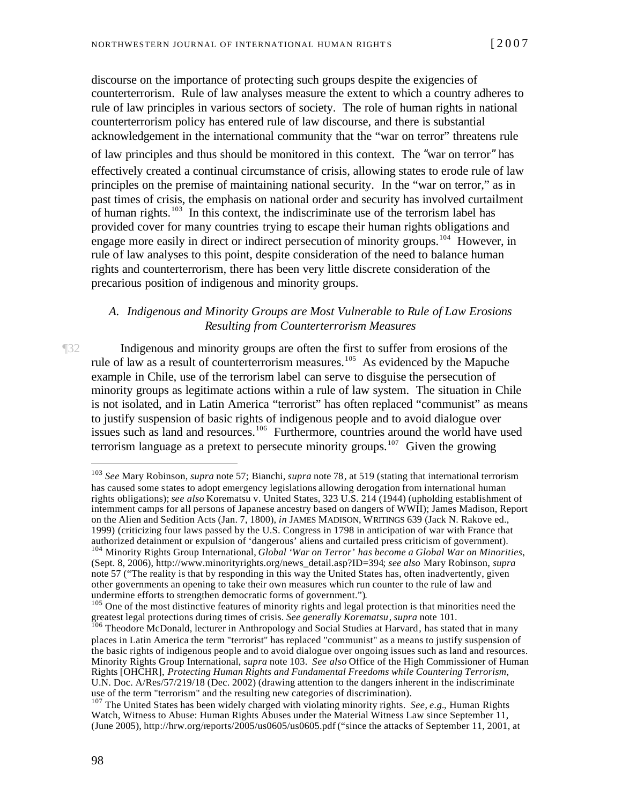discourse on the importance of protecting such groups despite the exigencies of counterterrorism. Rule of law analyses measure the extent to which a country adheres to rule of law principles in various sectors of society. The role of human rights in national counterterrorism policy has entered rule of law discourse, and there is substantial acknowledgement in the international community that the "war on terror" threatens rule of law principles and thus should be monitored in this context. The "war on terror" has effectively created a continual circumstance of crisis, allowing states to erode rule of law principles on the premise of maintaining national security. In the "war on terror," as in past times of crisis, the emphasis on national order and security has involved curtailment of human rights.<sup>103</sup> In this context, the indiscriminate use of the terrorism label has provided cover for many countries trying to escape their human rights obligations and engage more easily in direct or indirect persecution of minority groups.<sup>104</sup> However, in rule of law analyses to this point, despite consideration of the need to balance human rights and counterterrorism, there has been very little discrete consideration of the precarious position of indigenous and minority groups.

## *A. Indigenous and Minority Groups are Most Vulnerable to Rule of Law Erosions Resulting from Counterterrorism Measures*

¶32 Indigenous and minority groups are often the first to suffer from erosions of the rule of law as a result of counterterrorism measures.<sup>105</sup> As evidenced by the Mapuche example in Chile, use of the terrorism label can serve to disguise the persecution of minority groups as legitimate actions within a rule of law system. The situation in Chile is not isolated, and in Latin America "terrorist" has often replaced "communist" as means to justify suspension of basic rights of indigenous people and to avoid dialogue over issues such as land and resources.<sup>106</sup> Furthermore, countries around the world have used terrorism language as a pretext to persecute minority groups.<sup>107</sup> Given the growing

<sup>103</sup> *See* Mary Robinson, *supra* note 57; Bianchi, *supra* note 78, at 519 (stating that international terrorism has caused some states to adopt emergency legislations allowing derogation from international human rights obligations); *see also* Korematsu v. United States, 323 U.S. 214 (1944) (upholding establishment of internment camps for all persons of Japanese ancestry based on dangers of WWII); James Madison, Report on the Alien and Sedition Acts (Jan. 7, 1800), *in* JAMES MADISON, WRITINGS 639 (Jack N. Rakove ed., 1999) (criticizing four laws passed by the U.S. Congress in 1798 in anticipation of war with France that authorized detainment or expulsion of 'dangerous' aliens and curtailed press criticism of government). <sup>104</sup> Minority Rights Group International, *Global 'War on Terror' has become a Global War on Minorities*, (Sept. 8, 2006), http://www.minorityrights.org/news\_detail.asp?ID=394; *see also* Mary Robinson, *supra* note 57 ("The reality is that by responding in this way the United States has, often inadvertently, given other governments an opening to take their own measures which run counter to the rule of law and

undermine efforts to strengthen democratic forms of government.").

<sup>&</sup>lt;sup>105</sup> One of the most distinctive features of minority rights and legal protection is that minorities need the greatest legal protections during times of crisis. *See generally Korematsu*, *supra* note 101.

<sup>&</sup>lt;sup>106</sup> Theodore McDonald, lecturer in Anthropology and Social Studies at Harvard, has stated that in many places in Latin America the term "terrorist" has replaced "communist" as a means to justify suspension of the basic rights of indigenous people and to avoid dialogue over ongoing issues such as land and resources. Minority Rights Group International, *supra* note 103. *See also* Office of the High Commissioner of Human Rights [OHCHR], *Protecting Human Rights and Fundamental Freedoms while Countering Terrorism*, U.N. Doc. A/Res/57/219/18 (Dec. 2002) (drawing attention to the dangers inherent in the indiscriminate use of the term "terrorism" and the resulting new categories of discrimination).

<sup>107</sup> The United States has been widely charged with violating minority rights. *See*, *e.g.*, Human Rights Watch, Witness to Abuse: Human Rights Abuses under the Material Witness Law since September 11, (June 2005), http://hrw.org/reports/2005/us0605/us0605.pdf ("since the attacks of September 11, 2001, at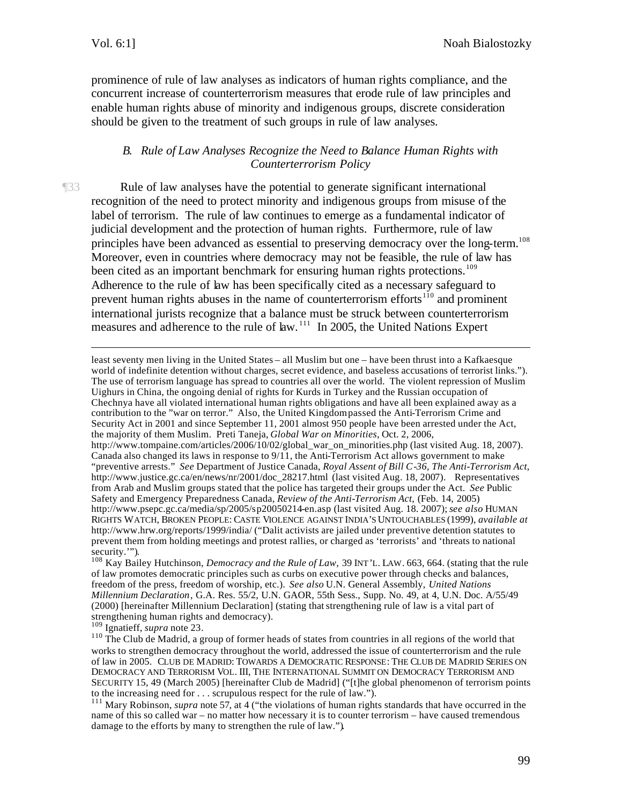$\overline{a}$ 

prominence of rule of law analyses as indicators of human rights compliance, and the concurrent increase of counterterrorism measures that erode rule of law principles and enable human rights abuse of minority and indigenous groups, discrete consideration should be given to the treatment of such groups in rule of law analyses.

## *B. Rule of Law Analyses Recognize the Need to Balance Human Rights with Counterterrorism Policy*

¶33 Rule of law analyses have the potential to generate significant international recognition of the need to protect minority and indigenous groups from misuse of the label of terrorism. The rule of law continues to emerge as a fundamental indicator of judicial development and the protection of human rights. Furthermore, rule of law principles have been advanced as essential to preserving democracy over the long-term.<sup>108</sup> Moreover, even in countries where democracy may not be feasible, the rule of law has been cited as an important benchmark for ensuring human rights protections.<sup>109</sup> Adherence to the rule of law has been specifically cited as a necessary safeguard to prevent human rights abuses in the name of counterterrorism efforts<sup>110</sup> and prominent international jurists recognize that a balance must be struck between counterterrorism measures and adherence to the rule of law. <sup>111</sup> In 2005, the United Nations Expert

least seventy men living in the United States – all Muslim but one – have been thrust into a Kafkaesque world of indefinite detention without charges, secret evidence, and baseless accusations of terrorist links."). The use of terrorism language has spread to countries all over the world. The violent repression of Muslim Uighurs in China, the ongoing denial of rights for Kurds in Turkey and the Russian occupation of Chechnya have all violated international human rights obligations and have all been explained away as a contribution to the "war on terror." Also, the United Kingdompassed the Anti-Terrorism Crime and Security Act in 2001 and since September 11, 2001 almost 950 people have been arrested under the Act, the majority of them Muslim. Preti Taneja, *Global War on Minorities*, Oct. 2, 2006, http://www.tompaine.com/articles/2006/10/02/global\_war\_on\_minorities.php (last visited Aug. 18, 2007). Canada also changed its laws in response to 9/11, the Anti-Terrorism Act allows government to make "preventive arrests." *See* Department of Justice Canada, *Royal Assent of Bill C-36, The Anti-Terrorism Act*, http://www.justice.gc.ca/en/news/nr/2001/doc\_28217.html (last visited Aug. 18, 2007). Representatives from Arab and Muslim groups stated that the police has targeted their groups under the Act. *See* Public Safety and Emergency Preparedness Canada, *Review of the Anti-Terrorism Act*, (Feb. 14, 2005) http://www.psepc.gc.ca/media/sp/2005/sp20050214-en.asp (last visited Aug. 18. 2007); *see also* HUMAN RIGHTS WATCH, BROKEN PEOPLE: CASTE VIOLENCE AGAINST INDIA'S UNTOUCHABLES (1999), *available at* http://www.hrw.org/reports/1999/india/ ("Dalit activists are jailed under preventive detention statutes to prevent them from holding meetings and protest rallies, or charged as 'terrorists' and 'threats to national security.'").

<sup>108</sup> Kay Bailey Hutchinson, *Democracy and the Rule of Law,* 39 INT'L. LAW. 663, 664. (stating that the rule of law promotes democratic principles such as curbs on executive power through checks and balances, freedom of the press, freedom of worship, etc.). *See also* U.N. General Assembly, *United Nations Millennium Declaration*, G.A. Res. 55/2, U.N. GAOR, 55th Sess., Supp. No. 49, at 4, U.N. Doc. A/55/49 (2000) [hereinafter Millennium Declaration] (stating that strengthening rule of law is a vital part of strengthening human rights and democracy).

<sup>109</sup> Ignatieff, *supra* note 23.

<sup>110</sup> The Club de Madrid, a group of former heads of states from countries in all regions of the world that works to strengthen democracy throughout the world, addressed the issue of counterterrorism and the rule of law in 2005. CLUB DE MADRID: TOWARDS A DEMOCRATIC RESPONSE: THE CLUB DE MADRID SERIES ON DEMOCRACY AND TERRORISM VOL. III, THE INTERNATIONAL SUMMIT ON DEMOCRACY TERRORISM AND SECURITY 15, 49 (March 2005) [hereinafter Club de Madrid] ("[t]he global phenomenon of terrorism points to the increasing need for . . . scrupulous respect for the rule of law.").

<sup>111</sup> Mary Robinson, *supra* note 57, at 4 ("the violations of human rights standards that have occurred in the name of this so called war – no matter how necessary it is to counter terrorism – have caused tremendous damage to the efforts by many to strengthen the rule of law.").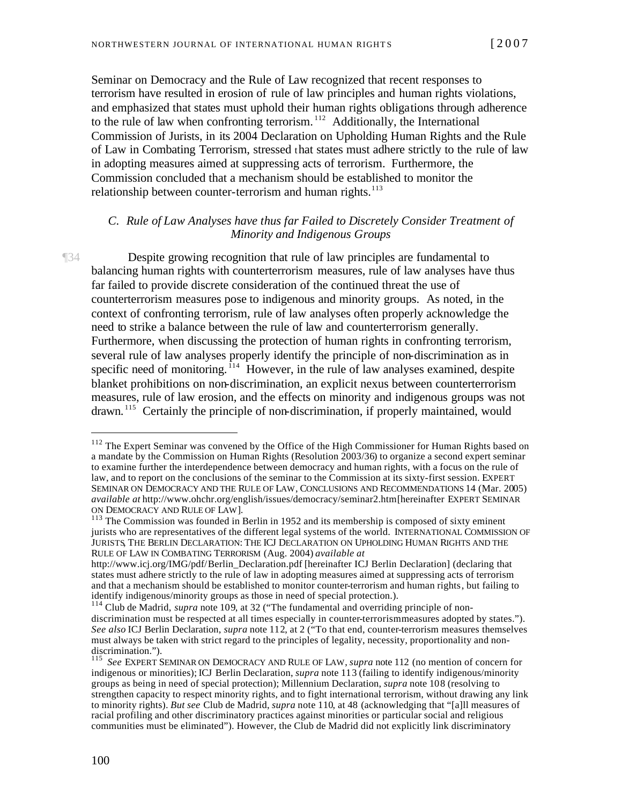Seminar on Democracy and the Rule of Law recognized that recent responses to terrorism have resulted in erosion of rule of law principles and human rights violations, and emphasized that states must uphold their human rights obligations through adherence to the rule of law when confronting terrorism.  $\frac{112}{2}$  Additionally, the International Commission of Jurists, in its 2004 Declaration on Upholding Human Rights and the Rule of Law in Combating Terrorism, stressed that states must adhere strictly to the rule of law in adopting measures aimed at suppressing acts of terrorism. Furthermore, the Commission concluded that a mechanism should be established to monitor the relationship between counter-terrorism and human rights. $113$ 

## *C. Rule of Law Analyses have thus far Failed to Discretely Consider Treatment of Minority and Indigenous Groups*

¶34 Despite growing recognition that rule of law principles are fundamental to balancing human rights with counterterrorism measures, rule of law analyses have thus far failed to provide discrete consideration of the continued threat the use of counterterrorism measures pose to indigenous and minority groups. As noted, in the context of confronting terrorism, rule of law analyses often properly acknowledge the need to strike a balance between the rule of law and counterterrorism generally. Furthermore, when discussing the protection of human rights in confronting terrorism, several rule of law analyses properly identify the principle of non-discrimination as in specific need of monitoring. <sup>114</sup> However, in the rule of law analyses examined, despite blanket prohibitions on non-discrimination, an explicit nexus between counterterrorism measures, rule of law erosion, and the effects on minority and indigenous groups was not drawn.<sup>115</sup> Certainly the principle of non-discrimination, if properly maintained, would

<sup>&</sup>lt;sup>112</sup> The Expert Seminar was convened by the Office of the High Commissioner for Human Rights based on a mandate by the Commission on Human Rights (Resolution 2003/36) to organize a second expert seminar to examine further the interdependence between democracy and human rights, with a focus on the rule of law, and to report on the conclusions of the seminar to the Commission at its sixty-first session. EXPERT SEMINAR ON DEMOCRACY AND THE RULE OF LAW, CONCLUSIONS AND RECOMMENDATIONS 14 (Mar. 2005) *available at* http://www.ohchr.org/english/issues/democracy/seminar2.htm [hereinafter EXPERT SEMINAR ON DEMOCRACY AND RULE OF LAW].

 $113$  The Commission was founded in Berlin in 1952 and its membership is composed of sixty eminent jurists who are representatives of the different legal systems of the world. INTERNATIONAL COMMISSION OF JURISTS, THE BERLIN DECLARATION: THE ICJ DECLARATION ON UPHOLDING HUMAN RIGHTS AND THE RULE OF LAW IN COMBATING TERRORISM (Aug. 2004) *available at*

http://www.icj.org/IMG/pdf/Berlin\_Declaration.pdf [hereinafter ICJ Berlin Declaration] (declaring that states must adhere strictly to the rule of law in adopting measures aimed at suppressing acts of terrorism and that a mechanism should be established to monitor counter-terrorism and human rights, but failing to identify indigenous/minority groups as those in need of special protection.).

<sup>&</sup>lt;sup>114</sup> Club de Madrid, *supra* note 109, at 32 ("The fundamental and overriding principle of nondiscrimination must be respected at all times especially in counter-terrorism measures adopted by states."). *See also* ICJ Berlin Declaration, *supra* note 112, at 2 ("To that end, counter-terrorism measures themselves must always be taken with strict regard to the principles of legality, necessity, proportionality and nondiscrimination.").

<sup>115</sup> *See* EXPERT SEMINAR ON DEMOCRACY AND RULE OF LAW, *supra* note 112 (no mention of concern for indigenous or minorities); ICJ Berlin Declaration, *supra* note 113 (failing to identify indigenous/minority groups as being in need of special protection); Millennium Declaration, *supra* note 108 (resolving to strengthen capacity to respect minority rights, and to fight international terrorism, without drawing any link to minority rights). *But see* Club de Madrid, *supra* note 110, at 48 (acknowledging that "[a]ll measures of racial profiling and other discriminatory practices against minorities or particular social and religious communities must be eliminated"). However, the Club de Madrid did not explicitly link discriminatory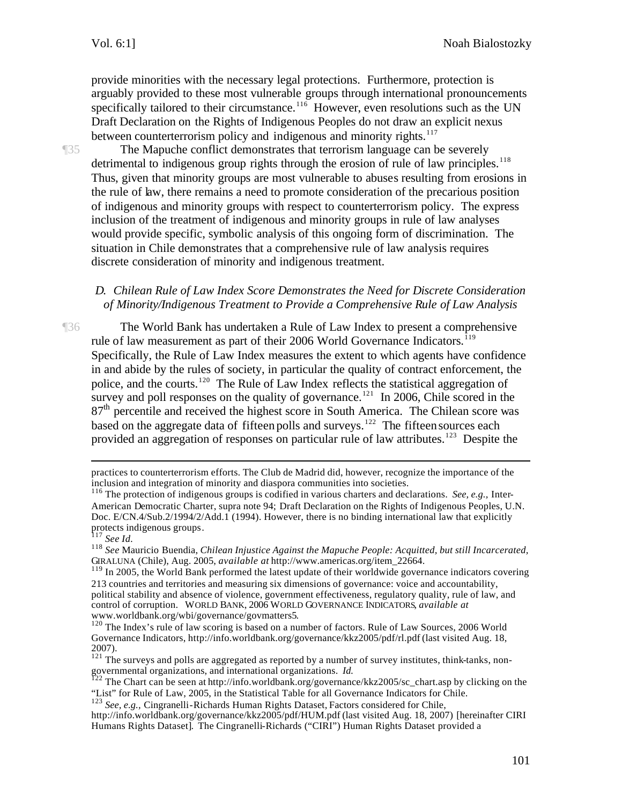provide minorities with the necessary legal protections. Furthermore, protection is arguably provided to these most vulnerable groups through international pronouncements specifically tailored to their circumstance.<sup>116</sup> However, even resolutions such as the UN Draft Declaration on the Rights of Indigenous Peoples do not draw an explicit nexus between counterterrorism policy and indigenous and minority rights.<sup>117</sup>

¶35 The Mapuche conflict demonstrates that terrorism language can be severely detrimental to indigenous group rights through the erosion of rule of law principles.<sup>118</sup> Thus, given that minority groups are most vulnerable to abuses resulting from erosions in the rule of law, there remains a need to promote consideration of the precarious position of indigenous and minority groups with respect to counterterrorism policy. The express inclusion of the treatment of indigenous and minority groups in rule of law analyses would provide specific, symbolic analysis of this ongoing form of discrimination. The situation in Chile demonstrates that a comprehensive rule of law analysis requires discrete consideration of minority and indigenous treatment.

## *D. Chilean Rule of Law Index Score Demonstrates the Need for Discrete Consideration of Minority/Indigenous Treatment to Provide a Comprehensive Rule of Law Analysis*

¶36 The World Bank has undertaken a Rule of Law Index to present a comprehensive rule of law measurement as part of their 2006 World Governance Indicators.<sup>119</sup> Specifically, the Rule of Law Index measures the extent to which agents have confidence in and abide by the rules of society, in particular the quality of contract enforcement, the police, and the courts.<sup>120</sup> The Rule of Law Index reflects the statistical aggregation of survey and poll responses on the quality of governance.<sup>121</sup> In 2006, Chile scored in the  $87<sup>th</sup>$  percentile and received the highest score in South America. The Chilean score was based on the aggregate data of fifteen polls and surveys.<sup>122</sup> The fifteen sources each provided an aggregation of responses on particular rule of law attributes.<sup>123</sup> Despite the

practices to counterterrorism efforts. The Club de Madrid did, however, recognize the importance of the inclusion and integration of minority and diaspora communities into societies.

<sup>116</sup> The protection of indigenous groups is codified in various charters and declarations. *See, e.g.,* Inter-American Democratic Charter, supra note 94; Draft Declaration on the Rights of Indigenous Peoples, U.N. Doc. E/CN.4/Sub.2/1994/2/Add.1 (1994). However, there is no binding international law that explicitly protects indigenous groups.

<sup>117</sup> *See Id.*

<sup>118</sup> *See* Mauricio Buendia, *Chilean Injustice Against the Mapuche People: Acquitted, but still Incarcerated,*  GIRALUNA (Chile), Aug. 2005, *available at* http://www.americas.org/item\_22664.

<sup>&</sup>lt;sup>119</sup> In 2005, the World Bank performed the latest update of their worldwide governance indicators covering 213 countries and territories and measuring six dimensions of governance: voice and accountability, political stability and absence of violence, government effectiveness, regulatory quality, rule of law, and control of corruption. WORLD BANK, 2006 WORLD GOVERNANCE INDICATORS, *available at*  www.worldbank.org/wbi/governance/govmatters5.

<sup>&</sup>lt;sup>120</sup> The Index's rule of law scoring is based on a number of factors. Rule of Law Sources, 2006 World Governance Indicators, http://info.worldbank.org/governance/kkz2005/pdf/rl.pdf (last visited Aug. 18, 2007).

 $121$  The surveys and polls are aggregated as reported by a number of survey institutes, think-tanks, nongovernmental organizations, and international organizations. *Id.* 

 $^{122}$  The Chart can be seen at http://info.worldbank.org/governance/kkz2005/sc\_chart.asp by clicking on the "List" for Rule of Law, 2005, in the Statistical Table for all Governance Indicators for Chile.

<sup>123</sup> *See, e.g.,* Cingranelli-Richards Human Rights Dataset, Factors considered for Chile,

http://info.worldbank.org/governance/kkz2005/pdf/HUM.pdf (last visited Aug. 18, 2007) [hereinafter CIRI Humans Rights Dataset]. The Cingranelli-Richards ("CIRI") Human Rights Dataset provided a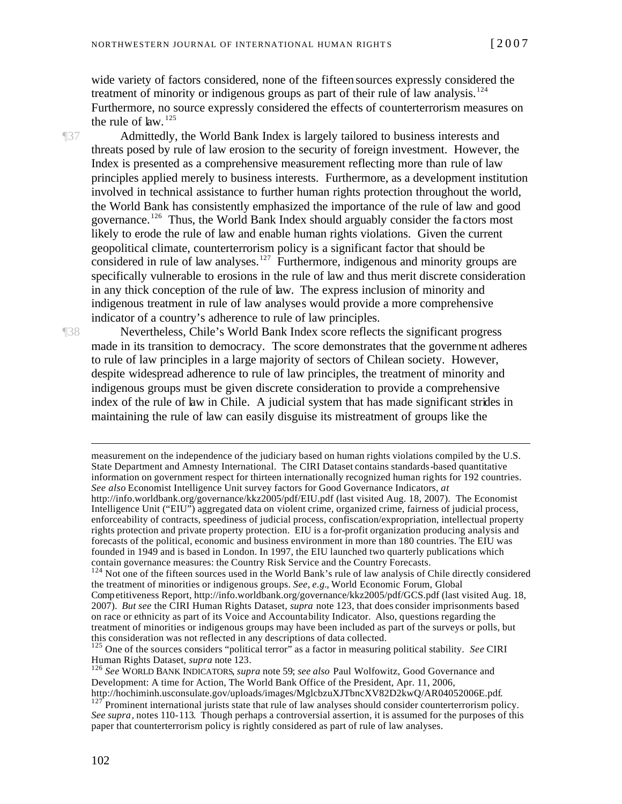wide variety of factors considered, none of the fifteen sources expressly considered the treatment of minority or indigenous groups as part of their rule of law analysis.<sup>124</sup> Furthermore, no source expressly considered the effects of counterterrorism measures on the rule of law.  $125$ 

¶37 Admittedly, the World Bank Index is largely tailored to business interests and threats posed by rule of law erosion to the security of foreign investment. However, the Index is presented as a comprehensive measurement reflecting more than rule of law principles applied merely to business interests. Furthermore, as a development institution involved in technical assistance to further human rights protection throughout the world, the World Bank has consistently emphasized the importance of the rule of law and good governance.<sup>126</sup> Thus, the World Bank Index should arguably consider the factors most likely to erode the rule of law and enable human rights violations. Given the current geopolitical climate, counterterrorism policy is a significant factor that should be considered in rule of law analyses.<sup>127</sup> Furthermore, indigenous and minority groups are specifically vulnerable to erosions in the rule of law and thus merit discrete consideration in any thick conception of the rule of law. The express inclusion of minority and indigenous treatment in rule of law analyses would provide a more comprehensive indicator of a country's adherence to rule of law principles.

 $\overline{a}$ 

¶38 Nevertheless, Chile's World Bank Index score reflects the significant progress made in its transition to democracy. The score demonstrates that the government adheres to rule of law principles in a large majority of sectors of Chilean society. However, despite widespread adherence to rule of law principles, the treatment of minority and indigenous groups must be given discrete consideration to provide a comprehensive index of the rule of law in Chile. A judicial system that has made significant strides in maintaining the rule of law can easily disguise its mistreatment of groups like the

measurement on the independence of the judiciary based on human rights violations compiled by the U.S. State Department and Amnesty International. The CIRI Dataset contains standards-based quantitative information on government respect for thirteen internationally recognized human rights for 192 countries. *See also* Economist Intelligence Unit survey factors for Good Governance Indicators, *at*  http://info.worldbank.org/governance/kkz2005/pdf/EIU.pdf (last visited Aug. 18, 2007). The Economist Intelligence Unit ("EIU") aggregated data on violent crime, organized crime, fairness of judicial process, enforceability of contracts, speediness of judicial process, confiscation/expropriation, intellectual property rights protection and private property protection. EIU is a for-profit organization producing analysis and forecasts of the political, economic and business environment in more than 180 countries. The EIU was founded in 1949 and is based in London. In 1997, the EIU launched two quarterly publications which contain governance measures: the Country Risk Service and the Country Forecasts.

<sup>&</sup>lt;sup>124</sup> Not one of the fifteen sources used in the World Bank's rule of law analysis of Chile directly considered the treatment of minorities or indigenous groups. *See*, *e.g.*, World Economic Forum, Global Competitiveness Report, http://info.worldbank.org/governance/kkz2005/pdf/GCS.pdf (last visited Aug. 18, 2007). *But see* the CIRI Human Rights Dataset, *supra* note 123, that does consider imprisonments based on race or ethnicity as part of its Voice and Accountability Indicator. Also, questions regarding the treatment of minorities or indigenous groups may have been included as part of the surveys or polls, but this consideration was not reflected in any descriptions of data collected.

<sup>125</sup> One of the sources considers "political terror" as a factor in measuring political stability. *See* CIRI Human Rights Dataset, *supra* note 123.

<sup>126</sup> *See* WORLD BANK INDICATORS, *supra* note 59; *see also* Paul Wolfowitz, Good Governance and Development: A time for Action, The World Bank Office of the President, Apr. 11, 2006, http://hochiminh.usconsulate.gov/uploads/images/MglcbzuXJTbncXV82D2kwQ/AR04052006E.pdf.

<sup>&</sup>lt;sup>127</sup> Prominent international jurists state that rule of law analyses should consider counterterrorism policy. *See supra,* notes 110-113. Though perhaps a controversial assertion, it is assumed for the purposes of this paper that counterterrorism policy is rightly considered as part of rule of law analyses.